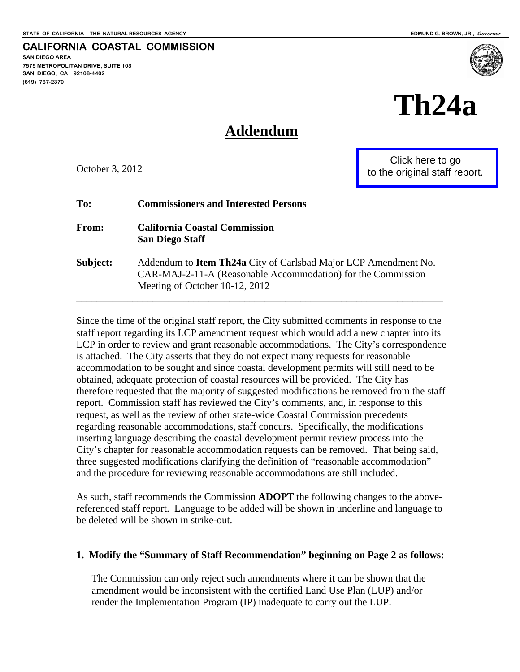**SAN DIEGO AREA** 

**(619) 767-2370** 

**7575 METROPOLITAN DRIVE, SUITE 103 SAN DIEGO, CA 92108-4402** 

**CALIFORNIA COASTAL COMMISSION** 

# **Th24a**

# **Addendum**

October 3, 2012

Click here to go [to the original staff report.](#page-24-0)

| To:          | <b>Commissioners and Interested Persons</b>                                                                                                                       |
|--------------|-------------------------------------------------------------------------------------------------------------------------------------------------------------------|
| <b>From:</b> | <b>California Coastal Commission</b><br><b>San Diego Staff</b>                                                                                                    |
| Subject:     | Addendum to Item Th24a City of Carlsbad Major LCP Amendment No.<br>CAR-MAJ-2-11-A (Reasonable Accommodation) for the Commission<br>Meeting of October 10-12, 2012 |

Since the time of the original staff report, the City submitted comments in response to the staff report regarding its LCP amendment request which would add a new chapter into its LCP in order to review and grant reasonable accommodations. The City's correspondence is attached. The City asserts that they do not expect many requests for reasonable accommodation to be sought and since coastal development permits will still need to be obtained, adequate protection of coastal resources will be provided. The City has therefore requested that the majority of suggested modifications be removed from the staff report. Commission staff has reviewed the City's comments, and, in response to this request, as well as the review of other state-wide Coastal Commission precedents regarding reasonable accommodations, staff concurs. Specifically, the modifications inserting language describing the coastal development permit review process into the City's chapter for reasonable accommodation requests can be removed. That being said, three suggested modifications clarifying the definition of "reasonable accommodation" and the procedure for reviewing reasonable accommodations are still included.

As such, staff recommends the Commission **ADOPT** the following changes to the abovereferenced staff report. Language to be added will be shown in <u>underline</u> and language to be deleted will be shown in strike-out.

#### **1. Modify the "Summary of Staff Recommendation" beginning on Page 2 as follows:**

The Commission can only reject such amendments where it can be shown that the amendment would be inconsistent with the certified Land Use Plan (LUP) and/or render the Implementation Program (IP) inadequate to carry out the LUP.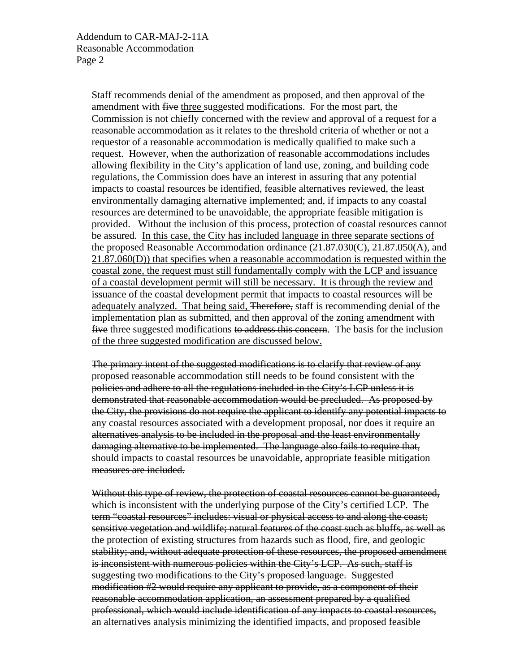Staff recommends denial of the amendment as proposed, and then approval of the amendment with five three suggested modifications. For the most part, the Commission is not chiefly concerned with the review and approval of a request for a reasonable accommodation as it relates to the threshold criteria of whether or not a requestor of a reasonable accommodation is medically qualified to make such a request. However, when the authorization of reasonable accommodations includes allowing flexibility in the City's application of land use, zoning, and building code regulations, the Commission does have an interest in assuring that any potential impacts to coastal resources be identified, feasible alternatives reviewed, the least environmentally damaging alternative implemented; and, if impacts to any coastal resources are determined to be unavoidable, the appropriate feasible mitigation is provided. Without the inclusion of this process, protection of coastal resources cannot be assured. In this case, the City has included language in three separate sections of the proposed Reasonable Accommodation ordinance (21.87.030(C), 21.87.050(A), and 21.87.060(D)) that specifies when a reasonable accommodation is requested within the coastal zone, the request must still fundamentally comply with the LCP and issuance of a coastal development permit will still be necessary. It is through the review and issuance of the coastal development permit that impacts to coastal resources will be adequately analyzed. That being said, Therefore, staff is recommending denial of the implementation plan as submitted, and then approval of the zoning amendment with five three suggested modifications to address this concern. The basis for the inclusion of the three suggested modification are discussed below.

The primary intent of the suggested modifications is to clarify that review of any proposed reasonable accommodation still needs to be found consistent with the policies and adhere to all the regulations included in the City's LCP unless it is demonstrated that reasonable accommodation would be precluded. As proposed by the City, the provisions do not require the applicant to identify any potential impacts to any coastal resources associated with a development proposal, nor does it require an alternatives analysis to be included in the proposal and the least environmentally damaging alternative to be implemented. The language also fails to require that, should impacts to coastal resources be unavoidable, appropriate feasible mitigation measures are included.

Without this type of review, the protection of coastal resources cannot be guaranteed, which is inconsistent with the underlying purpose of the City's certified LCP. The term "coastal resources" includes: visual or physical access to and along the coast; sensitive vegetation and wildlife; natural features of the coast such as bluffs, as well as the protection of existing structures from hazards such as flood, fire, and geologic stability; and, without adequate protection of these resources, the proposed amendment is inconsistent with numerous policies within the City's LCP. As such, staff is suggesting two modifications to the City's proposed language. Suggested modification #2 would require any applicant to provide, as a component of their reasonable accommodation application, an assessment prepared by a qualified professional, which would include identification of any impacts to coastal resources, an alternatives analysis minimizing the identified impacts, and proposed feasible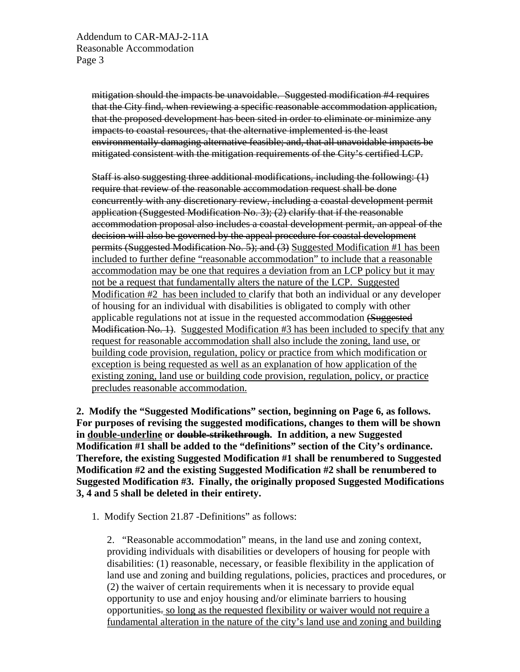Addendum to CAR-MAJ-2-11A Reasonable Accommodation Page 3

> mitigation should the impacts be unavoidable. Suggested modification #4 requires that the City find, when reviewing a specific reasonable accommodation application, that the proposed development has been sited in order to eliminate or minimize any impacts to coastal resources, that the alternative implemented is the least environmentally damaging alternative feasible; and, that all unavoidable impacts be mitigated consistent with the mitigation requirements of the City's certified LCP.

Staff is also suggesting three additional modifications, including the following: (1) require that review of the reasonable accommodation request shall be done concurrently with any discretionary review, including a coastal development permit application (Suggested Modification No. 3); (2) clarify that if the reasonable accommodation proposal also includes a coastal development permit, an appeal of the decision will also be governed by the appeal procedure for coastal development permits (Suggested Modification No. 5); and (3) Suggested Modification #1 has been included to further define "reasonable accommodation" to include that a reasonable accommodation may be one that requires a deviation from an LCP policy but it may not be a request that fundamentally alters the nature of the LCP. Suggested Modification #2 has been included to clarify that both an individual or any developer of housing for an individual with disabilities is obligated to comply with other applicable regulations not at issue in the requested accommodation (Suggested Modification No. 1). Suggested Modification #3 has been included to specify that any request for reasonable accommodation shall also include the zoning, land use, or building code provision, regulation, policy or practice from which modification or exception is being requested as well as an explanation of how application of the existing zoning, land use or building code provision, regulation, policy, or practice precludes reasonable accommodation.

**2. Modify the "Suggested Modifications" section, beginning on Page 6, as follows. For purposes of revising the suggested modifications, changes to them will be shown in double-underline or double-strikethrough. In addition, a new Suggested Modification #1 shall be added to the "definitions" section of the City's ordinance. Therefore, the existing Suggested Modification #1 shall be renumbered to Suggested Modification #2 and the existing Suggested Modification #2 shall be renumbered to Suggested Modification #3. Finally, the originally proposed Suggested Modifications 3, 4 and 5 shall be deleted in their entirety.** 

1. Modify Section 21.87 -Definitions" as follows:

2. "Reasonable accommodation" means, in the land use and zoning context, providing individuals with disabilities or developers of housing for people with disabilities: (1) reasonable, necessary, or feasible flexibility in the application of land use and zoning and building regulations, policies, practices and procedures, or (2) the waiver of certain requirements when it is necessary to provide equal opportunity to use and enjoy housing and/or eliminate barriers to housing opportunities. so long as the requested flexibility or waiver would not require a fundamental alteration in the nature of the city's land use and zoning and building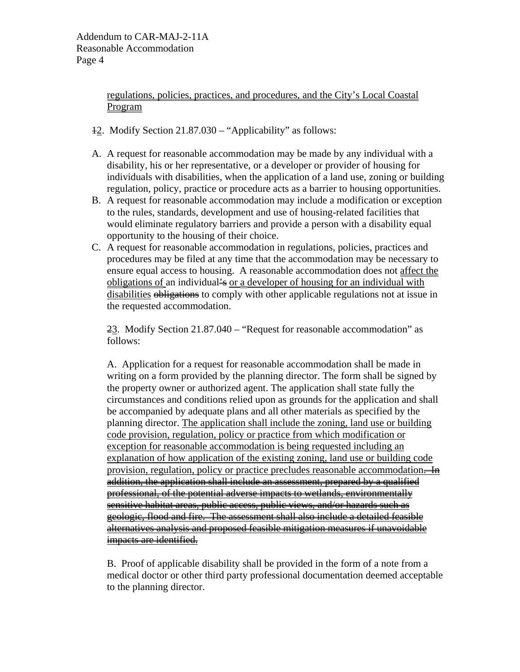regulations, policies, practices, and procedures, and the City's Local Coastal Program

- 12. Modify Section 21.87.030 "Applicability" as follows:
- A. A request for reasonable accommodation may be made by any individual with a disability, his or her representative, or a developer or provider of housing for individuals with disabilities, when the application of a land use, zoning or building regulation, policy, practice or procedure acts as a barrier to housing opportunities.
- B. A request for reasonable accommodation may include a modification or exception to the rules, standards, development and use of housing-related facilities that would eliminate regulatory barriers and provide a person with a disability equal opportunity to the housing of their choice.
- C. A request for reasonable accommodation in regulations, policies, practices and procedures may be filed at any time that the accommodation may be necessary to ensure equal access to housing. A reasonable accommodation does not affect the obligations of an individual's or a developer of housing for an individual with disabilities obligations to comply with other applicable regulations not at issue in the requested accommodation.

23. Modify Section 21.87.040 – "Request for reasonable accommodation" as follows:

A. Application for a request for reasonable accommodation shall be made in writing on a form provided by the planning director. The form shall be signed by the property owner or authorized agent. The application shall state fully the circumstances and conditions relied upon as grounds for the application and shall be accompanied by adequate plans and all other materials as specified by the planning director. The application shall include the zoning, land use or building code provision, regulation, policy or practice from which modification or exception for reasonable accommodation is being requested including an explanation of how application of the existing zoning, land use or building code provision, regulation, policy or practice precludes reasonable accommodation. In addition, the application shall include an assessment, prepared by a qualified professional, of the potential adverse impacts to wetlands, environmentally sensitive habitat areas, public access, public views, and/or hazards such as geologic, flood and fire. The assessment shall also include a detailed feasible alternatives analysis and proposed feasible mitigation measures if unavoidable impacts are identified.

B. Proof of applicable disability shall be provided in the form of a note from a medical doctor or other third party professional documentation deemed acceptable to the planning director.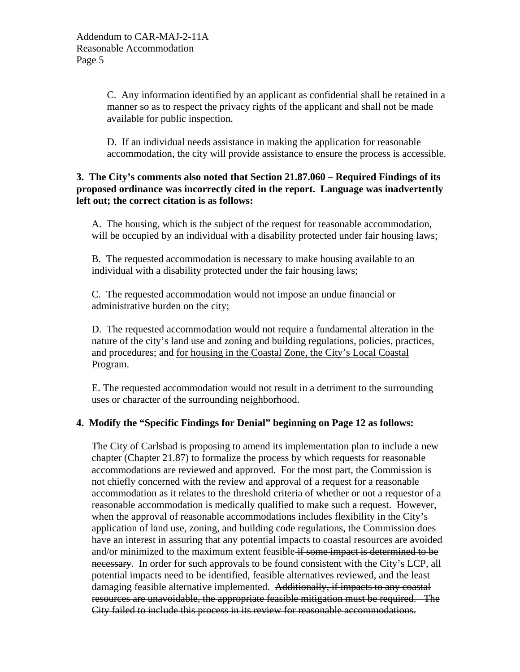C. Any information identified by an applicant as confidential shall be retained in a manner so as to respect the privacy rights of the applicant and shall not be made available for public inspection.

D. If an individual needs assistance in making the application for reasonable accommodation, the city will provide assistance to ensure the process is accessible.

#### **3. The City's comments also noted that Section 21.87.060 – Required Findings of its proposed ordinance was incorrectly cited in the report. Language was inadvertently left out; the correct citation is as follows:**

A. The housing, which is the subject of the request for reasonable accommodation, will be occupied by an individual with a disability protected under fair housing laws;

B. The requested accommodation is necessary to make housing available to an individual with a disability protected under the fair housing laws;

C. The requested accommodation would not impose an undue financial or administrative burden on the city;

D. The requested accommodation would not require a fundamental alteration in the nature of the city's land use and zoning and building regulations, policies, practices, and procedures; and for housing in the Coastal Zone, the City's Local Coastal Program.

E. The requested accommodation would not result in a detriment to the surrounding uses or character of the surrounding neighborhood.

## **4. Modify the "Specific Findings for Denial" beginning on Page 12 as follows:**

The City of Carlsbad is proposing to amend its implementation plan to include a new chapter (Chapter 21.87) to formalize the process by which requests for reasonable accommodations are reviewed and approved. For the most part, the Commission is not chiefly concerned with the review and approval of a request for a reasonable accommodation as it relates to the threshold criteria of whether or not a requestor of a reasonable accommodation is medically qualified to make such a request. However, when the approval of reasonable accommodations includes flexibility in the City's application of land use, zoning, and building code regulations, the Commission does have an interest in assuring that any potential impacts to coastal resources are avoided and/or minimized to the maximum extent feasible if some impact is determined to be necessary. In order for such approvals to be found consistent with the City's LCP, all potential impacts need to be identified, feasible alternatives reviewed, and the least damaging feasible alternative implemented. Additionally, if impacts to any coastal resources are unavoidable, the appropriate feasible mitigation must be required. The City failed to include this process in its review for reasonable accommodations.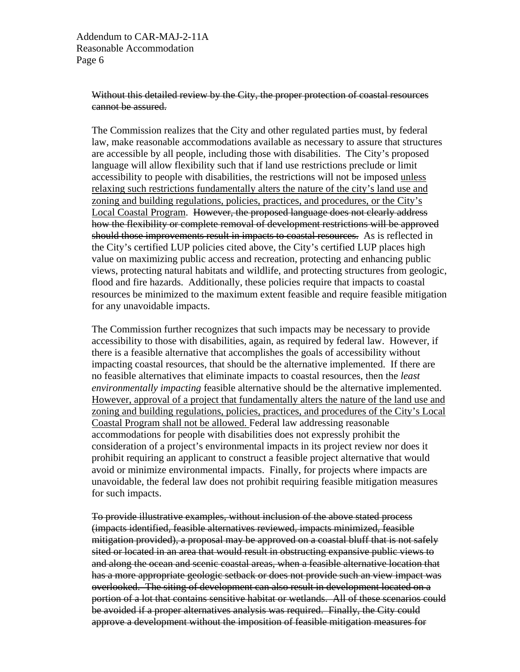Addendum to CAR-MAJ-2-11A Reasonable Accommodation Page 6

#### Without this detailed review by the City, the proper protection of coastal resources cannot be assured.

The Commission realizes that the City and other regulated parties must, by federal law, make reasonable accommodations available as necessary to assure that structures are accessible by all people, including those with disabilities. The City's proposed language will allow flexibility such that if land use restrictions preclude or limit accessibility to people with disabilities, the restrictions will not be imposed unless relaxing such restrictions fundamentally alters the nature of the city's land use and zoning and building regulations, policies, practices, and procedures, or the City's Local Coastal Program. However, the proposed language does not clearly address how the flexibility or complete removal of development restrictions will be approved should those improvements result in impacts to coastal resources. As is reflected in the City's certified LUP policies cited above, the City's certified LUP places high value on maximizing public access and recreation, protecting and enhancing public views, protecting natural habitats and wildlife, and protecting structures from geologic, flood and fire hazards. Additionally, these policies require that impacts to coastal resources be minimized to the maximum extent feasible and require feasible mitigation for any unavoidable impacts.

The Commission further recognizes that such impacts may be necessary to provide accessibility to those with disabilities, again, as required by federal law. However, if there is a feasible alternative that accomplishes the goals of accessibility without impacting coastal resources, that should be the alternative implemented. If there are no feasible alternatives that eliminate impacts to coastal resources, then the *least environmentally impacting* feasible alternative should be the alternative implemented. However, approval of a project that fundamentally alters the nature of the land use and zoning and building regulations, policies, practices, and procedures of the City's Local Coastal Program shall not be allowed. Federal law addressing reasonable accommodations for people with disabilities does not expressly prohibit the consideration of a project's environmental impacts in its project review nor does it prohibit requiring an applicant to construct a feasible project alternative that would avoid or minimize environmental impacts. Finally, for projects where impacts are unavoidable, the federal law does not prohibit requiring feasible mitigation measures for such impacts.

To provide illustrative examples, without inclusion of the above stated process (impacts identified, feasible alternatives reviewed, impacts minimized, feasible mitigation provided), a proposal may be approved on a coastal bluff that is not safely sited or located in an area that would result in obstructing expansive public views to and along the ocean and scenic coastal areas, when a feasible alternative location that has a more appropriate geologic setback or does not provide such an view impact was overlooked. The siting of development can also result in development located on a portion of a lot that contains sensitive habitat or wetlands. All of these scenarios could be avoided if a proper alternatives analysis was required. Finally, the City could approve a development without the imposition of feasible mitigation measures for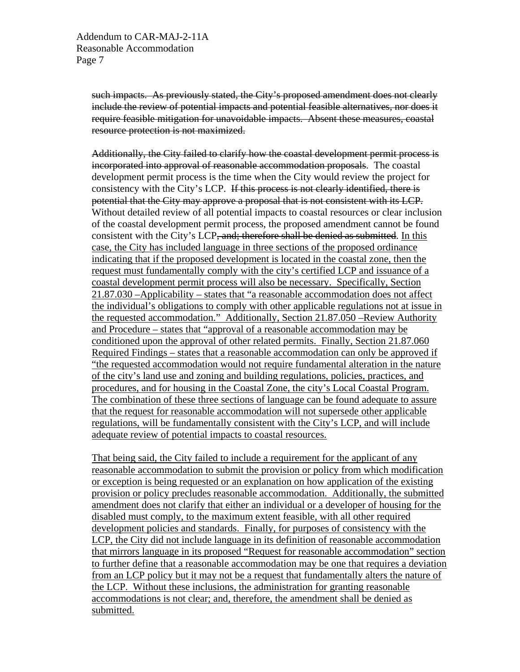such impacts. As previously stated, the City's proposed amendment does not clearly include the review of potential impacts and potential feasible alternatives, nor does it require feasible mitigation for unavoidable impacts. Absent these measures, coastal resource protection is not maximized.

Additionally, the City failed to clarify how the coastal development permit process is incorporated into approval of reasonable accommodation proposals. The coastal development permit process is the time when the City would review the project for consistency with the City's LCP. If this process is not clearly identified, there is potential that the City may approve a proposal that is not consistent with its LCP. Without detailed review of all potential impacts to coastal resources or clear inclusion of the coastal development permit process, the proposed amendment cannot be found consistent with the City's LCP, and; therefore shall be denied as submitted. In this case, the City has included language in three sections of the proposed ordinance indicating that if the proposed development is located in the coastal zone, then the request must fundamentally comply with the city's certified LCP and issuance of a coastal development permit process will also be necessary. Specifically, Section 21.87.030 –Applicability – states that "a reasonable accommodation does not affect the individual's obligations to comply with other applicable regulations not at issue in the requested accommodation." Additionally, Section 21.87.050 –Review Authority and Procedure – states that "approval of a reasonable accommodation may be conditioned upon the approval of other related permits. Finally, Section 21.87.060 Required Findings – states that a reasonable accommodation can only be approved if "the requested accommodation would not require fundamental alteration in the nature of the city's land use and zoning and building regulations, policies, practices, and procedures, and for housing in the Coastal Zone, the city's Local Coastal Program. The combination of these three sections of language can be found adequate to assure that the request for reasonable accommodation will not supersede other applicable regulations, will be fundamentally consistent with the City's LCP, and will include adequate review of potential impacts to coastal resources.

That being said, the City failed to include a requirement for the applicant of any reasonable accommodation to submit the provision or policy from which modification or exception is being requested or an explanation on how application of the existing provision or policy precludes reasonable accommodation. Additionally, the submitted amendment does not clarify that either an individual or a developer of housing for the disabled must comply, to the maximum extent feasible, with all other required development policies and standards. Finally, for purposes of consistency with the LCP, the City did not include language in its definition of reasonable accommodation that mirrors language in its proposed "Request for reasonable accommodation" section to further define that a reasonable accommodation may be one that requires a deviation from an LCP policy but it may not be a request that fundamentally alters the nature of the LCP. Without these inclusions, the administration for granting reasonable accommodations is not clear; and, therefore, the amendment shall be denied as submitted.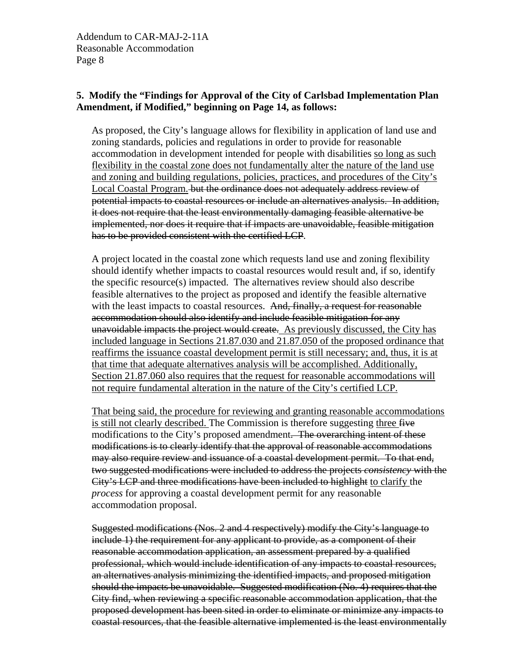#### **5. Modify the "Findings for Approval of the City of Carlsbad Implementation Plan Amendment, if Modified," beginning on Page 14, as follows:**

As proposed, the City's language allows for flexibility in application of land use and zoning standards, policies and regulations in order to provide for reasonable accommodation in development intended for people with disabilities so long as such flexibility in the coastal zone does not fundamentally alter the nature of the land use and zoning and building regulations, policies, practices, and procedures of the City's Local Coastal Program. but the ordinance does not adequately address review of potential impacts to coastal resources or include an alternatives analysis. In addition, it does not require that the least environmentally damaging feasible alternative be implemented, nor does it require that if impacts are unavoidable, feasible mitigation has to be provided consistent with the certified LCP.

A project located in the coastal zone which requests land use and zoning flexibility should identify whether impacts to coastal resources would result and, if so, identify the specific resource(s) impacted. The alternatives review should also describe feasible alternatives to the project as proposed and identify the feasible alternative with the least impacts to coastal resources. And, finally, a request for reasonable accommodation should also identify and include feasible mitigation for any unavoidable impacts the project would create.As previously discussed, the City has included language in Sections 21.87.030 and 21.87.050 of the proposed ordinance that reaffirms the issuance coastal development permit is still necessary; and, thus, it is at that time that adequate alternatives analysis will be accomplished. Additionally, Section 21.87.060 also requires that the request for reasonable accommodations will not require fundamental alteration in the nature of the City's certified LCP.

That being said, the procedure for reviewing and granting reasonable accommodations is still not clearly described. The Commission is therefore suggesting three five modifications to the City's proposed amendment. The overarching intent of these modifications is to clearly identify that the approval of reasonable accommodations may also require review and issuance of a coastal development permit. To that end, two suggested modifications were included to address the projects *consistency* with the City's LCP and three modifications have been included to highlight to clarify the *process* for approving a coastal development permit for any reasonable accommodation proposal.

Suggested modifications (Nos. 2 and 4 respectively) modify the City's language to include 1) the requirement for any applicant to provide, as a component of their reasonable accommodation application, an assessment prepared by a qualified professional, which would include identification of any impacts to coastal resources, an alternatives analysis minimizing the identified impacts, and proposed mitigation should the impacts be unavoidable. Suggested modification (No. 4) requires that the City find, when reviewing a specific reasonable accommodation application, that the proposed development has been sited in order to eliminate or minimize any impacts to coastal resources, that the feasible alternative implemented is the least environmentally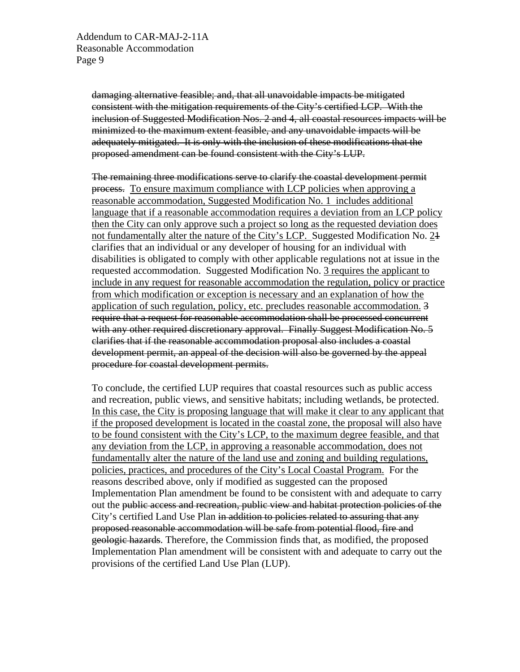damaging alternative feasible; and, that all unavoidable impacts be mitigated consistent with the mitigation requirements of the City's certified LCP. With the inclusion of Suggested Modification Nos. 2 and 4, all coastal resources impacts will be minimized to the maximum extent feasible, and any unavoidable impacts will be adequately mitigated. It is only with the inclusion of these modifications that the proposed amendment can be found consistent with the City's LUP.

The remaining three modifications serve to clarify the coastal development permit process. To ensure maximum compliance with LCP policies when approving a reasonable accommodation, Suggested Modification No. 1 includes additional language that if a reasonable accommodation requires a deviation from an LCP policy then the City can only approve such a project so long as the requested deviation does not fundamentally alter the nature of the City's LCP. Suggested Modification No. 21 clarifies that an individual or any developer of housing for an individual with disabilities is obligated to comply with other applicable regulations not at issue in the requested accommodation. Suggested Modification No. 3 requires the applicant to include in any request for reasonable accommodation the regulation, policy or practice from which modification or exception is necessary and an explanation of how the application of such regulation, policy, etc. precludes reasonable accommodation. 3 require that a request for reasonable accommodation shall be processed concurrent with any other required discretionary approval. Finally Suggest Modification No. 5 clarifies that if the reasonable accommodation proposal also includes a coastal development permit, an appeal of the decision will also be governed by the appeal procedure for coastal development permits.

To conclude, the certified LUP requires that coastal resources such as public access and recreation, public views, and sensitive habitats; including wetlands, be protected. In this case, the City is proposing language that will make it clear to any applicant that if the proposed development is located in the coastal zone, the proposal will also have to be found consistent with the City's LCP, to the maximum degree feasible, and that any deviation from the LCP, in approving a reasonable accommodation, does not fundamentally alter the nature of the land use and zoning and building regulations, policies, practices, and procedures of the City's Local Coastal Program. For the reasons described above, only if modified as suggested can the proposed Implementation Plan amendment be found to be consistent with and adequate to carry out the public access and recreation, public view and habitat protection policies of the City's certified Land Use Plan in addition to policies related to assuring that any proposed reasonable accommodation will be safe from potential flood, fire and geologic hazards. Therefore, the Commission finds that, as modified, the proposed Implementation Plan amendment will be consistent with and adequate to carry out the provisions of the certified Land Use Plan (LUP).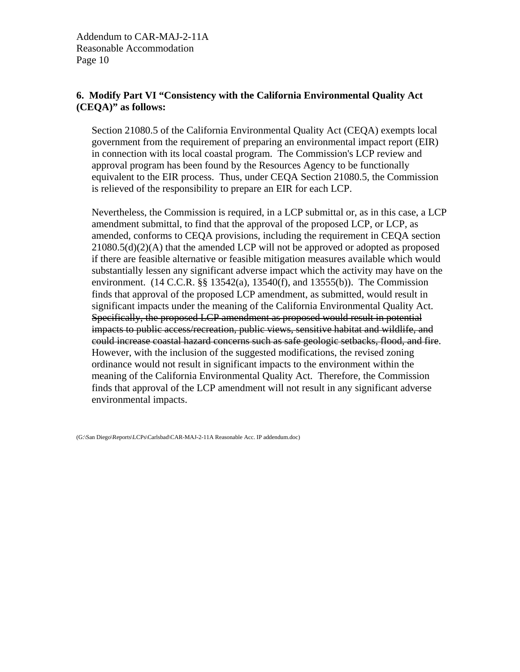Addendum to CAR-MAJ-2-11A Reasonable Accommodation Page 10

#### **6. Modify Part VI "Consistency with the California Environmental Quality Act (CEQA)" as follows:**

Section 21080.5 of the California Environmental Quality Act (CEQA) exempts local government from the requirement of preparing an environmental impact report (EIR) in connection with its local coastal program. The Commission's LCP review and approval program has been found by the Resources Agency to be functionally equivalent to the EIR process. Thus, under CEQA Section 21080.5, the Commission is relieved of the responsibility to prepare an EIR for each LCP.

Nevertheless, the Commission is required, in a LCP submittal or, as in this case, a LCP amendment submittal, to find that the approval of the proposed LCP, or LCP, as amended, conforms to CEQA provisions, including the requirement in CEQA section 21080.5(d)(2)(A) that the amended LCP will not be approved or adopted as proposed if there are feasible alternative or feasible mitigation measures available which would substantially lessen any significant adverse impact which the activity may have on the environment. (14 C.C.R. §§ 13542(a), 13540(f), and 13555(b)). The Commission finds that approval of the proposed LCP amendment, as submitted, would result in significant impacts under the meaning of the California Environmental Quality Act. Specifically, the proposed LCP amendment as proposed would result in potential impacts to public access/recreation, public views, sensitive habitat and wildlife, and could increase coastal hazard concerns such as safe geologic setbacks, flood, and fire. However, with the inclusion of the suggested modifications, the revised zoning ordinance would not result in significant impacts to the environment within the meaning of the California Environmental Quality Act. Therefore, the Commission finds that approval of the LCP amendment will not result in any significant adverse environmental impacts.

(G:\San Diego\Reports\LCPs\Carlsbad\CAR-MAJ-2-11A Reasonable Acc. IP addendum.doc)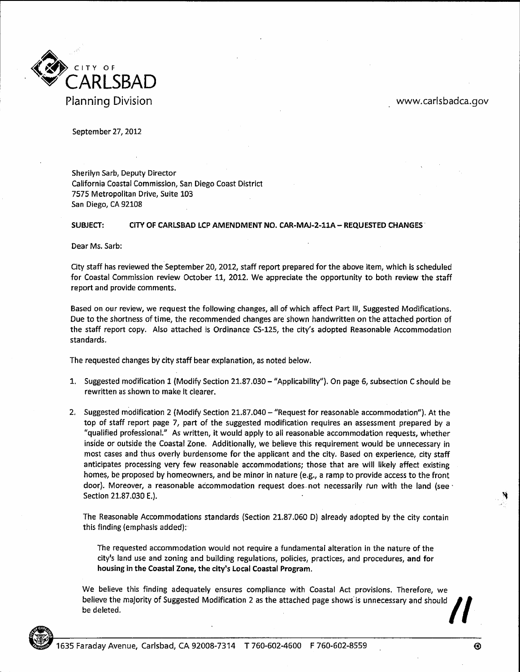

www.carlsbadca.gov

September 27, 2012

Sherilyn Sarb, Deputy Director California Coastal Commission, San Diego Coast District 7575 Metropolitan Drive, Suite 103 San Diego, CA 92108

**SUBJECT:** CITY OF CARLSBAD LCP AMENDMENT NO. CAR-MAJ-2-11A - REQUESTED CHANGES

Dear Ms. Sarb:

City staff has reviewed the September 20, 2012, staff report prepared for the above item, which is scheduled for Coastal Commission review October 11, 2012. We appreciate the opportunity to both review the staff report and provide comments.

Based on our review, we request the following changes, all of which affect Part III, Suggested Modifications. Due to the shortness of time, the recommended changes are shown handwritten on the attached portion of the staff report copy. Also attached is Ordinance CS-125, the city's adopted Reasonable Accommodation standards.

The requested changes by city staff bear explanation, as noted below.

- 1. Suggested modification 1 (Modify Section 21.87.030 "Applicability"). On page 6, subsection C should be rewritten as shown to make it clearer.
- 2. Suggested modification 2 (Modify Section 21.87.040 "Request for reasonable accommodation"). At the top of staff report page 7, part of the suggested modification requires an assessment prepared by a "qualified professional." As written, it would apply to all reasonable accommodation requests, whether inside or outside the Coastal Zone. Additionally, we believe this requirement would be unnecessary in most cases and thus overly burdensome for the applicant and the city. Based on experience, city staff anticipates processing very few reasonable accommodations; those that are will likely affect existing homes, be proposed by homeowners, and be minor in nature (e.g., a ramp to provide access to the front door). Moreover, a reasonable accommodation request does not necessarily run with the land (see · Section 21.87.030 E.).

The Reasonable Accommodations standards (Section 21.87.060 D) already adopted by the city contain this finding (emphasis added):

The requested accommodation would not require a fundamental alteration in the nature of the city's land use and zoning and building regulations, policies, practices, and procedures, and for housing in the Coastal Zone, the city's Local Coastal Program.

We believe this finding adequately ensures compliance with Coastal Act provisions. Therefore, we believe the majority of Suggested Modification 2 as the attached page shows is unnecessary and should be deleted.

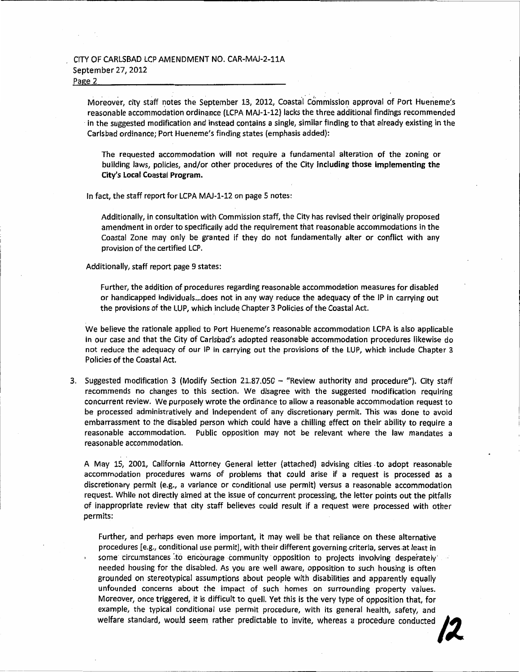Moreover, city staff notes the September 13, 2012, Coastal Commission approval of Port Hueneme's reasonable accommodation ordinance (LCPA MAJ-1-12) lacks the three additional findings recommended in the suggested modification and instead contains a single, similar finding to that already existing in the Carlsbad ordinance; Port Hueneme's finding states (emphasis added):

The requested accommodation will not require a fundamental alteration of the zoning or building laws, policies, and/or other procedures of the City including those implementing the City's Local Coastal Program.

In fact, the staff report for LCPA MAJ-1-12 on page 5 notes:

Additionally, in consultation with Commission staff, the City has revised their originally proposed amendment in order to specifically add the requirement that reasonable accommodations in the Coastal Zone may only be granted if they do not fundamentally alter or conflict with any provision of the certified LCP.

Additionally, staff report page 9 states:

Further, the addition of procedures regarding reasonable accommodation measures for disabled or handicapped individuals...does not in any way reduce the adequacy of the IP in carrying out the provisions of the LUP, which include Chapter 3 Policies of the Coastal Act.

We believe the rationale applied to Port Hueneme's reasonable accommodation LCPA is also applicable in our case and that the City of Carlsbad's adopted reasonable accommodation procedures likewise do not reduce the adequacy of our IP in carrying out the provisions of the LUP, which include Chapter 3 Policies of the Coastal Act.

3. Suggested modification 3 (Modify Section 21.87.050 – "Review authority and procedure"). City staff recommends no changes to this section. We disagree with the suggested modification requiring concurrent review. We purposely wrote the ordinance to allow a reasonable accommodation request to be processed administratively and independent of any discretionary permit. This was done to avoid embarrassment to the disabled person which could have a chilling effect on their ability to require a reasonable accommodation. Public opposition may not be relevant where the law mandates a reasonable accommodation.

A May 15, 2001, California Attorney General letter (attached) advising cities to adopt reasonable accommodation procedures warns of problems that could arise if a request is processed as a discretionary permit (e.g., a variance or conditional use permit) versus a reasonable accommodation request. While not directly aimed at the issue of concurrent processing, the letter points out the pitfalls of inappropriate review that city staff believes could result if a request were processed with other permits:

Further, and perhaps even more important, it may well be that reliance on these alternative procedures [e.g., conditional use permit], with their different governing criteria, serves at least in some circumstances to encourage community opposition to projects involving desperately needed housing for the disabled. As you are well aware, opposition to such housing is often grounded on stereotypical assumptions about people with disabilities and apparently equally unfounded concerns about the impact of such homes on surrounding property values. Moreover, once triggered, it is difficult to quell. Yet this is the very type of opposition that, for example, the typical conditional use permit procedure, with its general health, safety, and welfare standard, would seem rather predictable to invite, whereas a procedure conducted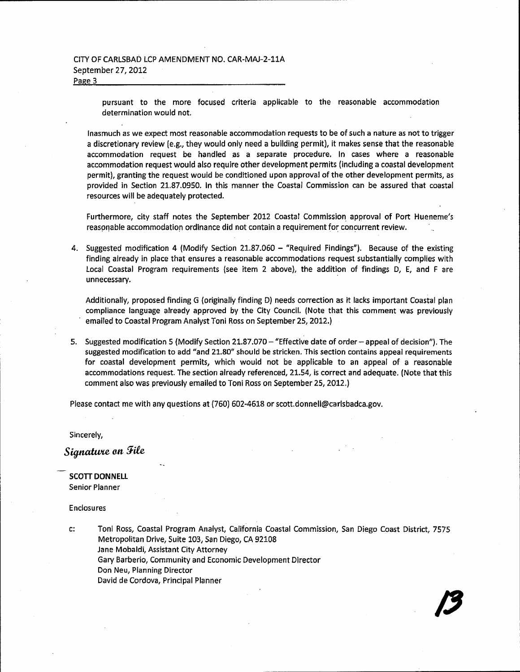pursuant to the more focused criteria applicable to the reasonable accommodation determination would not.

Inasmuch as we expect most reasonable accommodation requests to be of such a nature as not to trigger a discretionary review (e.g., they would only need a building permit), it makes sense that the reasonable accommodation request be handled as a separate procedure. In cases where a reasonable accommodation request would also require other development permits (including a coastal development permit), granting the request would be conditioned upon approval of the other development permits, as provided in Section 21.87.0950. In this manner the Coastal Commission can be assured that coastal resources will be adequately protected.

Furthermore, city staff notes the September 2012 Coastal Commission approval of Port Hueneme's reasonable accommodation ordinance did not contain a requirement for concurrent review.

4. Suggested modification 4 (Modify Section 21.87.060 - "Required Findings"). Because of the existing finding already in place that ensures a reasonable accommodations request substantially complies with Local Coastal Program requirements (see item 2 above), the addition of findings D, E, and F are unnecessary.

Additionally, proposed finding G (originally finding D) needs correction as it lacks important Coastal plan compliance language already approved by the City Council. (Note that this comment was previously emailed to Coastal Program Analyst Toni Ross on September 25, 2012.)

5. Suggested modification 5 (Modify Section 21.87.070 – "Effective date of order – appeal of decision"). The suggested modification to add "and 21.80" should be stricken. This section contains appeal requirements for coastal development permits, which would not be applicable to an appeal of a reasonable accommodations request. The section already referenced, 21.54, is correct and adequate. (Note that this comment also was previously emailed to Toni Ross on September 25, 2012.)

Please contact me with any questions at (760) 602-4618 or scott.donnell@carlsbadca.gov.

Sincerely,

Signature on File

**SCOTT DONNELL Senior Planner** 

**Enclosures** 

C: Toni Ross, Coastal Program Analyst, California Coastal Commission, San Diego Coast District, 7575 Metropolitan Drive, Suite 103, San Diego, CA 92108 Jane Mobaldi, Assistant City Attorney Gary Barberio, Community and Economic Development Director Don Neu, Planning Director David de Cordova, Principal Planner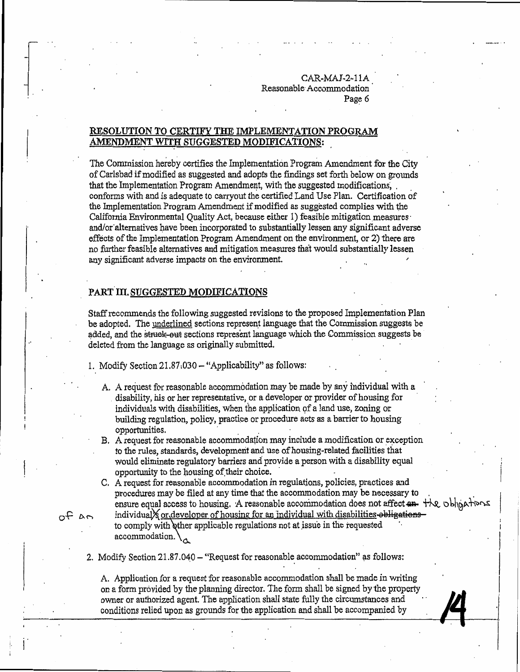#### RESOLUTION TO CERTIFY THE IMPLEMENTATION PROGRAM AMENDMENT WITH SUGGESTED MODIFICATIONS:

The Commission hereby certifies the Implementation Program Amendment for the City of Carlsbad if modified as suggested and adopts the findings set forth below on grounds that the Implementation Program Amendment, with the suggested modifications, conforms with and is adequate to carryout the certified Land Use Plan. Certification of the Implementation Program Amendment if modified as suggested complies with the California Environmental Ouality Act, because either 1) feasible mitigation measures and/or alternatives have been incorporated to substantially lessen any significant adverse effects of the Implementation Program Amendment on the environment, or 2) there are no further feasible alternatives and mitigation measures that would substantially lessen any significant adverse impacts on the environment.

#### PART III. SUGGESTED MODIFICATIONS

Staff recommends the following suggested revisions to the proposed Implementation Plan be adopted. The underlined sections represent language that the Commission suggests be added, and the struck-out sections represent language which the Commission suggests be deleted from the language as originally submitted.

1. Modify Section 21.87.030 - "Applicability" as follows:

- A. A request for reasonable accommodation may be made by any individual with a disability, his or her representative, or a developer or provider of housing for individuals with disabilities, when the application of a land use, zoning or building regulation, policy, practice or procedure acts as a barrier to housing opportunities.
- B. A request for reasonable accommodation may include a modification or exception to the rules, standards, development and use of housing-related facilities that would eliminate regulatory barriers and provide a person with a disability equal opportunity to the housing of their choice.
- C. A request for reasonable accommodation in regulations, policies, practices and procedures may be filed at any time that the accommodation may be necessary to ensure equal access to housing. A reasonable accommodation does not affect  $\mathbf{a}$  +  $\forall k$  obligations individual or developer of housing for an individual with disabilities obligations

to comply with other applicable regulations not at issue in the requested accommodation. $\setminus_{\Lambda}$ 

2. Modify Section 21.87.040 - "Request for reasonable accommodation" as follows:

A. Application for a request for reasonable accommodation shall be made in writing on a form provided by the planning director. The form shall be signed by the property owner or authorized agent. The application shall state fully the circumstances and conditions relied upon as grounds for the application and shall be accompanied by

 $\theta$  and  $\theta$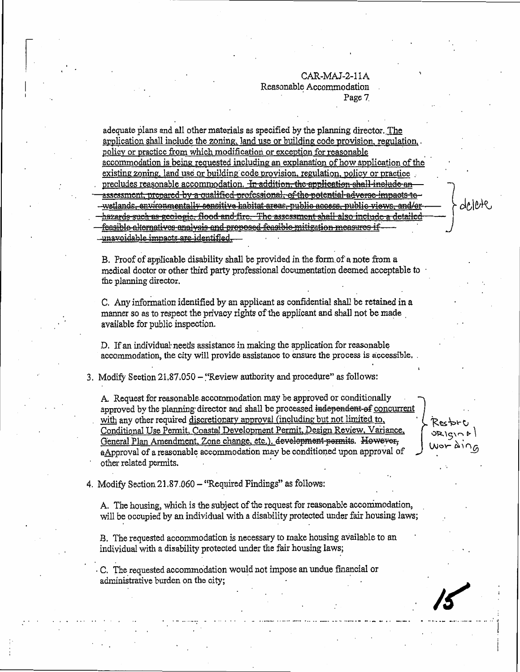delete

Rectori

adequate plans and all other materials as specified by the planning director. The application shall include the zoning, land use or building code provision, regulation, policy or practice from which modification or exception for reasonable accommodation is being requested including an explanation of how application of the existing zoning, land use or building code provision, regulation, policy or practice precludes reasonable accommodation. In addition, the application shall-include an assessment, prepared by a qualified professional, of the potential adverse impacts to -wetlands, environmentally sensitive habitat areas, public access, public views, and/or hazards such as geologic, flood and fire. The assessment shall also include a detailed feasible alternatives analysis and proposed feasible mitigation measures if unavoidable impacts are identified.

B. Proof of applicable disability shall be provided in the form of a note from a medical doctor or other third party professional documentation deemed acceptable to the planning director.

C. Any information identified by an applicant as confidential shall be retained in a manner so as to respect the privacy rights of the applicant and shall not be made available for public inspection.

D. If an individual needs assistance in making the application for reasonable accommodation, the city will provide assistance to ensure the process is accessible.

3. Modify Section 21.87.050 - "Review authority and procedure" as follows:

A. Request for reasonable accommodation may be approved or conditionally approved by the planning director and shall be processed independent of concurrent with any other required discretionary approval (including but not limited to, Conditional Use Permit, Coastal Development Permit, Design Review, Variance, General Plan Amendment, Zone change, etc.). development permits. However, aApproval of a reasonable accommodation may be conditioned upon approval of other related permits.

4. Modify Section 21.87.060 – "Required Findings" as follows:

A. The housing, which is the subject of the request for reasonable accommodation, will be occupied by an individual with a disability protected under fair housing laws;

B. The requested accommodation is necessary to make housing available to an individual with a disability protected under the fair housing laws;

C. The requested accommodation would not impose an undue financial or administrative burden on the city;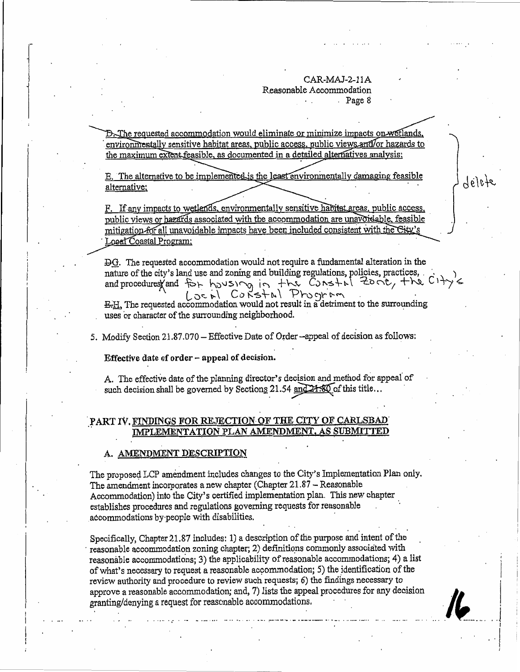D. The requested accommodation would eliminate or minimize impacts on wetlands, environmentally sensitive habitat areas, public access, public views and/or hazards to the maximum extent feasible, as documented in a detailed alternatives analysis;

E. The alternative to be implemented is the least environmentally damaging feasible alternative;

F. If any impacts to wetlands, environmentally sensitive habitat areas, public access, public views or hazards associated with the accommodation are unavoidable, feasible mitigation for all unavoidable impacts have been included consistent with the City's Local Coastal Program;

DG. The requested accommodation would not require a fundamental alteration in the nature of the city's land use and zoning and building regulations, policies, practices, and procedures and for housing in the Constal Zone, the CITY's

E.H. The requested accommodation would not result in a detriment to the surrounding uses or character of the surrounding neighborhood.

5. Modify Section 21.87.070 - Effective Date of Order --appeal of decision as follows:

Effective date of order - appeal of decision.

A. The effective date of the planning director's decision and method for appeal of such decision shall be governed by Sections 21.54 and 21.80 of this title...

#### PART IV. FINDINGS FOR REJECTION OF THE CITY OF CARLSBAD IMPLEMENTATION PLAN AMENDMENT, AS SUBMITTED

#### A. AMENDMENT DESCRIPTION

The proposed LCP amendment includes changes to the City's Implementation Plan only. The amendment incorporates a new chapter (Chapter 21.87 - Reasonable Accommodation) into the City's certified implementation plan. This new chapter establishes procedures and regulations governing requests for reasonable accommodations by people with disabilities.

Specifically, Chapter 21.87 includes: 1) a description of the purpose and intent of the reasonable accommodation zoning chapter; 2) definitions commonly associated with reasonable accommodations; 3) the applicability of reasonable accommodations; 4) a list of what's necessary to request a reasonable accommodation; 5) the identification of the review authority and procedure to review such requests; 6) the findings necessary to approve a reasonable accommodation; and, 7) lists the appeal procedures for any decision granting/denying a request for reasonable accommodations.



délete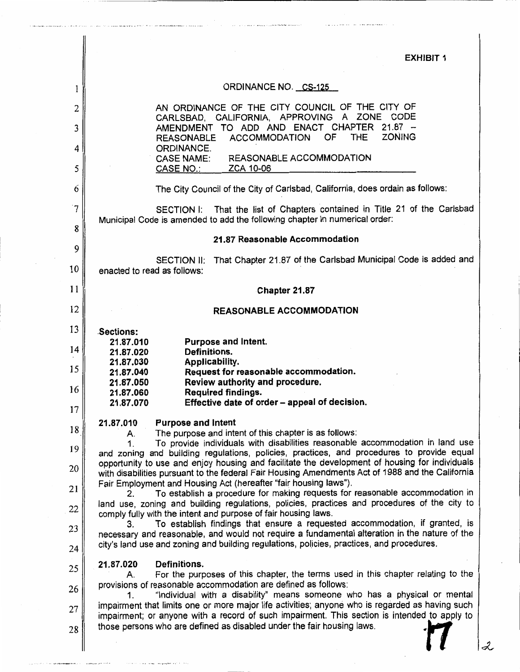**EXHIBIT 1** 

# ORDINANCE NO. CS-125

 $1\vert$ 

| 2              | AN ORDINANCE OF THE CITY COUNCIL OF THE CITY OF<br>CARLSBAD, CALIFORNIA, APPROVING A ZONE CODE                                                                                                     |  |
|----------------|----------------------------------------------------------------------------------------------------------------------------------------------------------------------------------------------------|--|
| 3              | AMENDMENT TO ADD AND ENACT CHAPTER 21.87 -<br><b>ZONING</b><br><b>THE</b><br><b>ACCOMMODATION</b><br>0F<br><b>REASONABLE</b>                                                                       |  |
| 4              | ORDINANCE.<br>REASONABLE ACCOMMODATION<br><b>CASE NAME:</b>                                                                                                                                        |  |
| 5              | CASE NO.:<br>ZCA 10-06                                                                                                                                                                             |  |
| 6              | The City Council of the City of Carlsbad, California, does ordain as follows:                                                                                                                      |  |
| $\overline{7}$ | SECTION I: That the list of Chapters contained in Title 21 of the Carlsbad<br>Municipal Code is amended to add the following chapter in numerical order:                                           |  |
| 8              | 21.87 Reasonable Accommodation                                                                                                                                                                     |  |
| 9<br>10        | That Chapter 21.87 of the Carlsbad Municipal Code is added and<br>SECTION II.<br>enacted to read as follows:                                                                                       |  |
| 11             | Chapter 21.87                                                                                                                                                                                      |  |
| 12             | <b>REASONABLE ACCOMMODATION</b>                                                                                                                                                                    |  |
| 13             | Sections:                                                                                                                                                                                          |  |
| 14             | Purpose and Intent.<br>21.87.010<br>Definitions.<br>21.87.020                                                                                                                                      |  |
| 15             | Applicability.<br>21.87.030<br>Request for reasonable accommodation.<br>21.87.040                                                                                                                  |  |
| 16             | Review authority and procedure.<br>21.87.050<br>Required findings.<br>21.87.060                                                                                                                    |  |
| 17             | Effective date of order - appeal of decision.<br>21.87.070                                                                                                                                         |  |
| 18             | <b>Purpose and Intent</b><br>21.87.010<br>The purpose and intent of this chapter is as follows:<br>А.                                                                                              |  |
| 19             | To provide individuals with disabilities reasonable accommodation in land use<br>1.<br>and zoning and building regulations, policies, practices, and procedures to provide equal                   |  |
| 20             | opportunity to use and enjoy housing and facilitate the development of housing for individuals<br>with disabilities pursuant to the federal Fair Housing Amendments Act of 1988 and the California |  |
| 21             | Fair Employment and Housing Act (hereafter "fair housing laws").<br>To establish a procedure for making requests for reasonable accommodation in                                                   |  |
| 22             | land use, zoning and building regulations, policies, practices and procedures of the city to                                                                                                       |  |
| 23             | comply fully with the intent and purpose of fair housing laws.<br>To establish findings that ensure a requested accommodation, if granted, is                                                      |  |
| 24             | necessary and reasonable, and would not require a fundamental alteration in the nature of the<br>city's land use and zoning and building regulations, policies, practices, and procedures.         |  |
| 25             | 21.87.020<br>Definitions.<br>For the purposes of this chapter, the terms used in this chapter relating to the<br>А.                                                                                |  |
| 26             | provisions of reasonable accommodation are defined as follows:<br>"Individual with a disability" means someone who has a physical or mental                                                        |  |
| 27             | impairment that limits one or more major life activities; anyone who is regarded as having such                                                                                                    |  |
| 28             | impairment; or anyone with a record of such impairment. This section is intended to apply to<br>those persons who are defined as disabled under the fair housing laws.                             |  |
|                |                                                                                                                                                                                                    |  |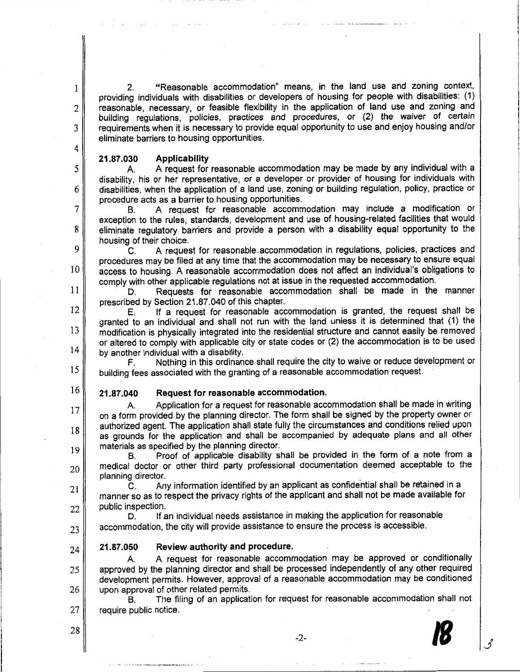"Reasonable accommodation" means, in the land use and zoning context,  $2<sub>1</sub>$ providing individuals with disabilities or developers of housing for people with disabilities: (1) reasonable, necessary, or feasible flexibility in the application of land use and zoning and building regulations, policies, practices and procedures, or (2) the waiver of certain requirements when it is necessary to provide equal opportunity to use and enjoy housing and/or eliminate barriers to housing opportunities.

#### 21.87.030 **Applicability**

1

 $\overline{2}$ 

3

4

5

6

7

8

9

 $10$ 

11

12

 $13$ 

 $14$ 

 $17$ 

18

19

20

21

22

25

26

28

A request for reasonable accommodation may be made by any individual with a A. disability, his or her representative, or a developer or provider of housing for individuals with disabilities, when the application of a land use, zoning or building requlation, policy, practice or procedure acts as a barrier to housing opportunities.

A request for reasonable accommodation may include a modification or B. exception to the rules, standards, development and use of housing-related facilities that would eliminate regulatory barriers and provide a person with a disability equal opportunity to the housing of their choice.

A request for reasonable accommodation in regulations, policies, practices and  $\mathbf{C}$ . procedures may be filed at any time that the accommodation may be necessary to ensure equal access to housing. A reasonable accommodation does not affect an individual's obligations to comply with other applicable regulations not at issue in the requested accommodation.

Requests for reasonable accommodation shall be made in the manner D. prescribed by Section 21.87.040 of this chapter.

If a request for reasonable accommodation is granted, the request shall be E. granted to an individual and shall not run with the land unless it is determined that (1) the modification is physically integrated into the residential structure and cannot easily be removed or altered to comply with applicable city or state codes or (2) the accommodation is to be used by another individual with a disability.

Nothing in this ordinance shall require the city to waive or reduce development or F. 15 building fees associated with the granting of a reasonable accommodation request.

16 21.87.040 Request for reasonable accommodation.

Application for a request for reasonable accommodation shall be made in writing A. on a form provided by the planning director. The form shall be signed by the property owner or authorized agent. The application shall state fully the circumstances and conditions relied upon as grounds for the application and shall be accompanied by adequate plans and all other materials as specified by the planning director.

Proof of applicable disability shall be provided in the form of a note from a **B**. medical doctor or other third party professional documentation deemed acceptable to the planning director.

Any information identified by an applicant as confidential shall be retained in a  $\mathbf{C}$ manner so as to respect the privacy rights of the applicant and shall not be made available for public inspection.

If an individual needs assistance in making the application for reasonable D. accommodation, the city will provide assistance to ensure the process is accessible. 23

21.87.050 Review authority and procedure. 24

A request for reasonable accommodation may be approved or conditionally A. approved by the planning director and shall be processed independently of any other required development permits. However, approval of a reasonable accommodation may be conditioned upon approval of other related permits.

The filing of an application for request for reasonable accommodation shall not **B.** 27 require public notice.

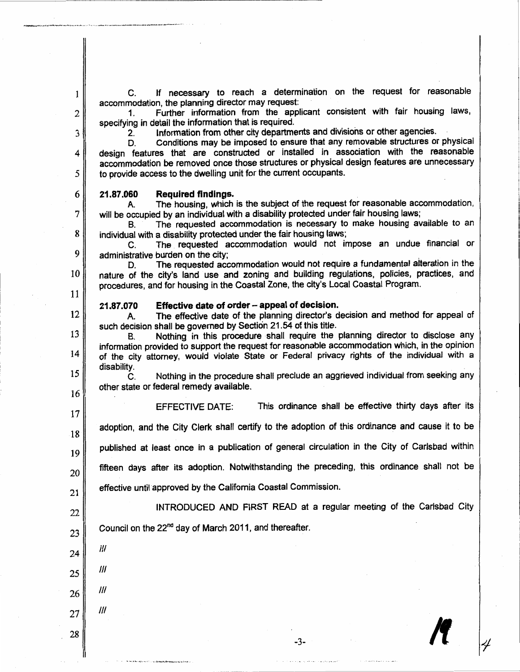If necessary to reach a determination on the request for reasonable  $C_{\cdot}$ accommodation, the planning director may request:

Further information from the applicant consistent with fair housing laws,  $1<sub>1</sub>$ specifying in detail the information that is required.

Information from other city departments and divisions or other agencies.  $2^{\circ}$ 

Conditions may be imposed to ensure that any removable structures or physical D. design features that are constructed or installed in association with the reasonable accommodation be removed once those structures or physical design features are unnecessary to provide access to the dwelling unit for the current occupants.

#### 21.87.060 Required findings.

The housing, which is the subject of the request for reasonable accommodation, **A.** will be occupied by an individual with a disability protected under fair housing laws:

The requested accommodation is necessary to make housing available to an **B.** individual with a disability protected under the fair housing laws; 8

The requested accommodation would not impose an undue financial or  $\mathbf{C}$ 9 administrative burden on the city;

The requested accommodation would not require a fundamental alteration in the D. nature of the city's land use and zoning and building regulations, policies, practices, and procedures, and for housing in the Coastal Zone, the city's Local Coastal Program.

#### Effective date of order - appeal of decision. 21.87.070

The effective date of the planning director's decision and method for appeal of A. such decision shall be governed by Section 21.54 of this title.

Nothing in this procedure shall require the planning director to disclose any B. information provided to support the request for reasonable accommodation which, in the opinion of the city attorney, would violate State or Federal privacy rights of the individual with a disability.

Nothing in the procedure shall preclude an aggrieved individual from seeking any  $\mathbf{C}$ other state or federal remedy available.

16 17

18

20

22

23

24

25

26

27

28

 $III$ 

 $III$ 

 $III$ 

 $III$ 

 $\mathbf{1}$ 

 $\overline{2}$ 

3

4

5

6

7

10

11

12

13

14

15

This ordinance shall be effective thirty days after its **EFFECTIVE DATE:** 

adoption, and the City Clerk shall certify to the adoption of this ordinance and cause it to be

published at least once in a publication of general circulation in the City of Carlsbad within 19

fifteen days after its adoption. Notwithstanding the preceding, this ordinance shall not be

effective until approved by the California Coastal Commission. 21

INTRODUCED AND FIRST READ at a regular meeting of the Carlsbad City

 $-3-$ 

Council on the 22<sup>nd</sup> day of March 2011, and thereafter.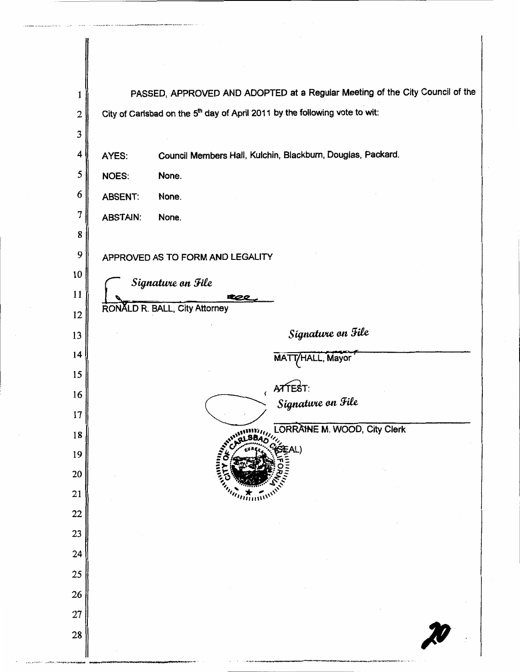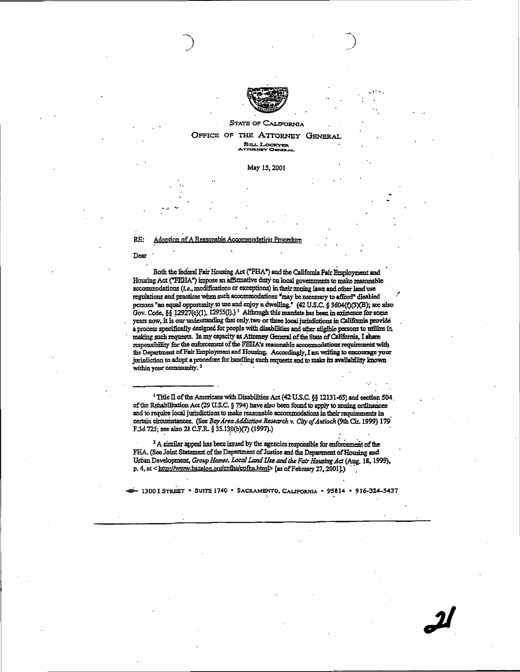

#### **STATE OF CALIFORNIA** OFFICE OF THE ATTORNEY GENERAL BILL LOCKYER

May 15, 2001

#### Adoption of A Reasonable Accommodation Procedure RE:

Dear

Both the federal Fair Housing Act ("FHA") and the California Fair Employment and Housing Act ("FEHA") impose an affirmative duty on local governments to make reasonable accommodations (i.e., modifications or exceptions) in their zoning laws and other land use regulations and practices when such accommodations "may be necessary to afford" disabled persons "an equal opportunity to use and enjoy a dwelling." (42 U.S.C. § 3604(f)(3)(B); see also Gov. Code, §§ 12927(c)(1), 12955(l).)<sup>1</sup> Although this mandate has been in existence for some years now, it is our understanding that only two or three local jurisdictions in California provide a process specifically designed for people with disabilities and other eligible persons to utilize in making such requests. In my capacity as Attorney General of the State of California, I share responsibility for the enforcement of the FEHA's reasonable accommodations requirement with the Department of Fair Employment and Housing. Accordingly, I am writing to encourage your jurisdiction to adopt a procedure for handling such requests and to make its availability known within your community.<sup>2</sup>

<sup>1</sup> Title II of the Americans with Disabilities Act (42 U.S.C. §§ 12131-65) and section 504. of the Rehabilitation Act (29 U.S.C. § 794) have also been found to apply to zoning ordinances and to require local jurisdictions to make reasonable accommodations in their requirements in certain circumstances. (See Bay Area Addiction Research v. City of Antioch (9th Cir. 1999) 179 F.3d 725; see also 28 C.F.R. § 35.130(b)(7) (1997).)

<sup>2</sup> A similar appeal has been issued by the agencies responsible for enforcement of the FHA. (See Joint Statement of the Department of Justice and the Department of Housing and Urban Development, Group Homes, Local Land Use and the Fair Housing Act (Aug. 18, 1999), p. 4, at <http://www.bazelon.org/cpfha/cpfha.html> [as of February 27, 2001].)

- 1300 I STREET . SUITE 1740 . SACRAMENTO, CALIFORNIA . 95814 . 916-324-5437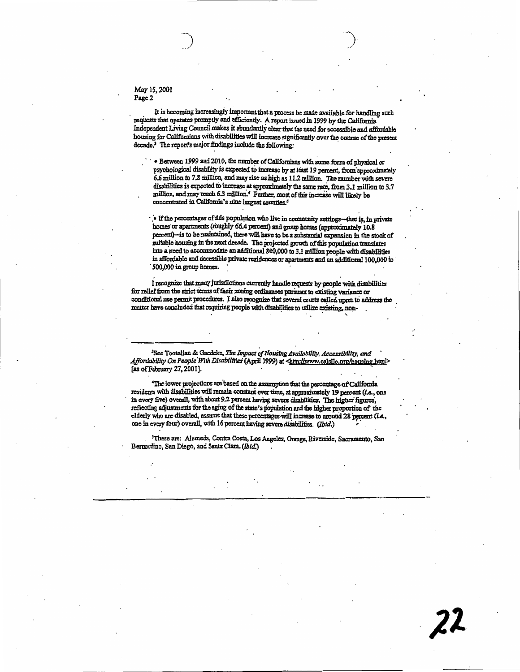May 15, 2001 Page 2

It is becoming increasingly important that a process be made available for handling such requests that operates promptly and efficiently. A report issued in 1999 by the California Independent Living Council makes it abundantly clear that the need for accessible and affordable housing for Californians with disabilities will increase significantly over the course of the present decade.<sup>3</sup> The report's major findings include the following:

· Between 1999 and 2010, the number of Californians with some form of physical or psychological disability is expected to increase by at least 19 percent, from approximately 6.6 million to 7.8 million, and may rise as high as 11.2 million. The number with severe disabilities is expected to increase at approximately the same rate, from 3.1 million to 3.7 million, and may reach 6.3 million.<sup>4</sup> Further, most of this increase will likely be concentrated in California's nine largest counties.<sup>3</sup>

. If the percentages of this population who live in community settings-that is, in private homes or apartments (roughly 66.4 percent) and group homes (approximately 10.8 percent)-is to be maintained, there will have to be a substantial expansion in the stock of suitable housing in the next decade. The projected growth of this population translates into a need to accommodate an additional 800,000 to 3.1 million people with disabilities in affordable and accessible private residences or apartments and an additional 100,000 to 500,000 in group homes.

I recognize that many jurisdictions currently handle requests by people with disabilities for relief from the strict terms of their zoning ordinances pursuant to existing variance or conditional use permit procedures. I also recognize that several courts called upon to address the matter have concluded that requiring people with disabilities to utilize existing, non-

<sup>3</sup>See Tootelian & Gaedeke, The Impact of Housing Availability, Accessibility, and Affordability On People With Disabilities (April 1999) at <http://www.calsilc.org/housing.html> [as of February 27, 2001].

'The lower projections are based on the assumption that the percentage of California residents with disabilities will remain constant over time, at approximately 19 percent (i.e., one in every five) overall, with about 9.2 percent having severe disabilities. The higher figures, reflecting adjustments for the aging of the state's population and the higher proportion of the elderly who are disabled, assume that these percentages will increase to around 28 percent (i.e., one in every four) overall, with 16 percent having severe disabilities. (Ibid.)

<sup>5</sup>These are: Alameda, Contra Costa, Los Angeles, Orange, Riverside, Sacramento, San Bernardino, San Diego, and Santa Clara. (Ibid.)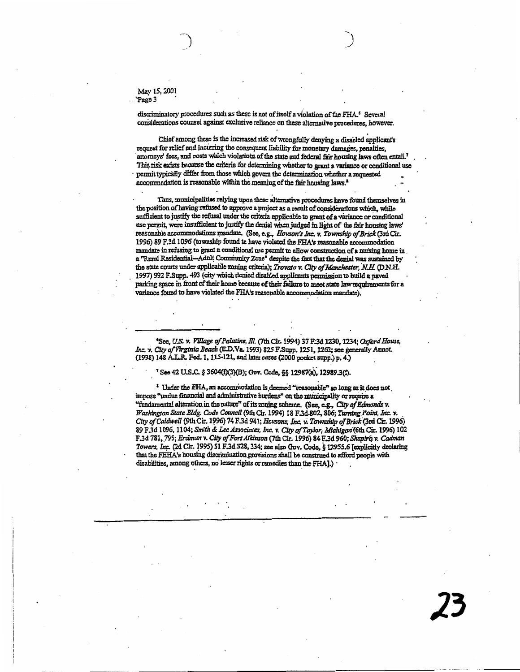May 15, 2001 Page 3

discriminatory procedures such as these is not of itself a violation of the FHA.<sup>6</sup> Several considerations counsel against exclusive reliance on these alternative procedures, however.

Chief among these is the increased risk of wrongfully denying a disabled applicant's request for relief and incurring the consequent liability for monetary damages, penalties, attorneys' fees, and costs which violations of the state and federal fair housing laws often entail.<sup>7</sup> This risk exists because the criteria for determining whether to grant a variance or conditional use permit typically differ from those which govern the determination whether a requested accommodation is reasonable within the meaning of the fair housing laws.<sup>2</sup>

Thus, municipalities relying upon these alternative procedures have found themselves in the position of having refused to approve a project as a result of considerations which, while sufficient to justify the refusal under the criteria applicable to grant of a variance or conditional use permit, were insufficient to justify the denial when judged in light of the fair housing laws' reasonable accommodations mandate. (See, e.g., Hovson's Inc. v. Township of Brick (3rd Cir. 1996) 89 F.3d 1096 (township found to have violated the FHA's reasonable accommodation mandate in refusing to grant a conditional use permit to allow construction of a nursing home in a "Rural Residential-Adult Community Zone" despite the fact that the denial was sustained by the state courts under applicable zoning criteria); Trovato v. City of Manchester, N.H. (D.N.H. 1997) 992 F.Supp. 493 (city which denied disabled applicants permission to build a paved parking space in front of their home because of their failure to meet state law requirements for a variance found to have violated the FHA's reasonable accommodation mandate).

See, U.S. v. Village of Palatine, Ill. (7th Cir. 1994) 37 F.3d 1230, 1234; Oxford House, Inc. v. City of Virginia Beach (E.D.Va. 1993) 825 F.Supp. 1251, 1262; see generally Annot. (1998) 148 A.L.R. Fed. 1, 115-121, and later cases (2000 pocket supp.) p. 4.)

#### <sup>7</sup> See 42 U.S.C. § 3604(f)(3)(B); Gov. Code, §§ 12987(a), 12989.3(f).

<sup>1</sup> Under the FHA, an accommodation is deemed "reasonable" so long as it does not impose "undue financial and administrative burdens" on the municipality or require a "fundamental alteration in the nature" of its zoning scheme. (See, e.g., City of Edmonds v. Washington State Bldg. Code Council (9th Cir. 1994) 18 F.3d.802, 806; Turning Point, Inc. v. City of Caldwell (9th Cir. 1996) 74 F.3d 941; Hovsons, Inc. v. Township of Brick (3rd Cir. 1996) 89 F.3d 1096, 1104; Smith & Lee Associates, Inc. v. City of Taylor, Michigan (6th Cir. 1996) 102 F.3d 781, 795; Erdman v. City of Fort Atkinson (7th Cir. 1996) 84 F.3d 960; Shapiro v. Cadman Towers. Inc. (2d Cir. 1995) 51 F.3d 328, 334; see also Gov. Code, § 12955.6 [explicitly declaring that the FEHA's housing discrimination provisions shall be construed to afford people with disabilities, among others, no lesser rights or remedies than the FHA].)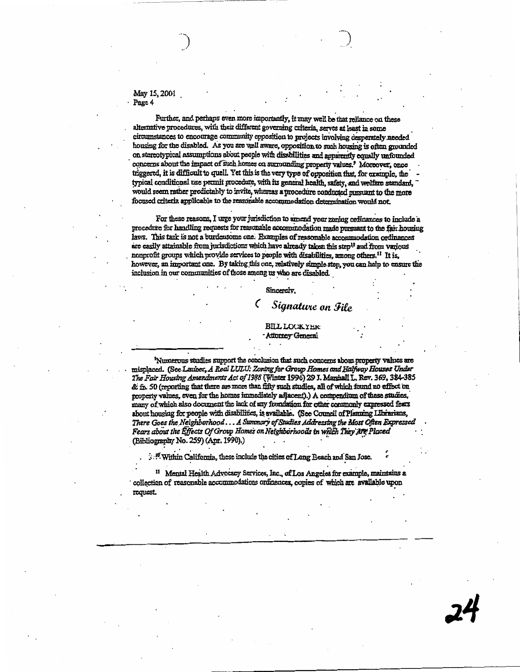#### May 15, 2001 Page 4

Further, and perhaps even more importantly, it may well be that reliance on these alternative procedures, with their different governing criteria, serves at least in some circumstances to encourage community opposition to projects involving desperately needed housing for the disabled. As you are well aware, opposition to such housing is often grounded on stereotypical assumptions about people with disabilities and apparently equally unfounded concerns about the impact of such homes on surrounding property values.' Moreover, once triggered, it is difficult to quell. Yet this is the very type of opposition that, for example, the typical conditional use permit procedure, with its general health, safety, and welfare standard, would seem rather predictably to invite, whereas a procedure conducted pursuant to the more focused criteria applicable to the reasonable accommodation determination would not.

For these reasons, I urge your jurisdiction to amend your zoning ordinances to include a procedure for handling requests for reasonable accommodation made pursuant to the fair housing laws. This task is not a burdensome one. Examples of reasonable accommodation ordinances are easily attainable from jurisdictions which have already taken this step<sup>10</sup> and from various nonprofit groups which provide services to people with disabilities, among others.<sup>11</sup> It is, however, an important one. By taking this one, relatively simple step, you can help to ensure the inclusion in our communities of those among us who are disabled.

#### Sincerely,

# Signature on File

**BILL LOCKYER** Attorney General

<sup>9</sup>Numerous studies support the conclusion that such concerns about property values are misplaced. (See Lauber, A Real LULU: Zoning for Group Homes and Halfway Houses Under The Fair Housing Amendments Act of 1988 (Winter 1996) 29 J. Marshall L. Rev. 369, 384-385 & fn. 50 (reporting that there are more than fifty such studies, all of which found no effect on property values, even for the homes immediately adjacent).) A compendium of these studies, many of which also document the lack of any foundation for other commonly expressed fears about housing for people with disabilities, is available. (See Council of Planning Librarians, There Goes the Neighborhood . . . A Summary of Studies Addressing the Most Often Expressed Fears about the Effects Of Group Homes on Neighborhoods in which They Are Placed (Bibliography No. 259) (Apr. 1990).)

Within California, these include the cities of Long Beach and San Jose.

<sup>11</sup> Mental Health Advocacy Services, Inc., of Los Angeles for example, maintains a collection of reasonable accommodations ordinances, copies of which are available upon request.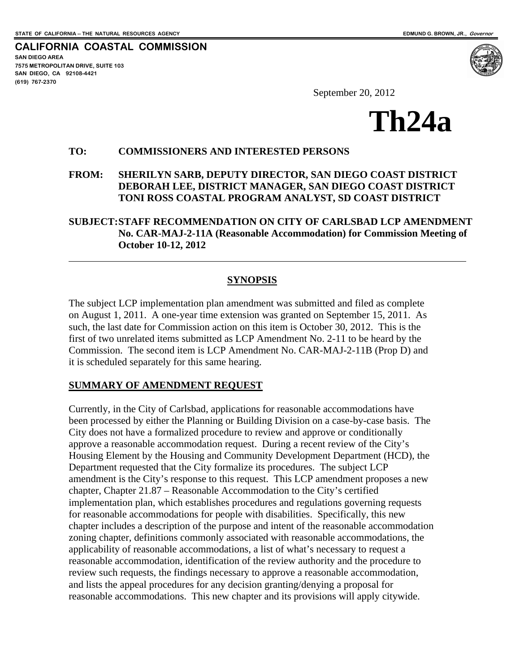$\overline{a}$ 

<span id="page-24-0"></span>**CALIFORNIA COASTAL COMMISSION SAN DIEGO AREA 7575 METROPOLITAN DRIVE, SUITE 103 SAN DIEGO, CA 92108-4421 (619) 767-2370**



September 20, 2012



#### **TO: COMMISSIONERS AND INTERESTED PERSONS**

**FROM: SHERILYN SARB, DEPUTY DIRECTOR, SAN DIEGO COAST DISTRICT DEBORAH LEE, DISTRICT MANAGER, SAN DIEGO COAST DISTRICT TONI ROSS COASTAL PROGRAM ANALYST, SD COAST DISTRICT** 

**SUBJECT: STAFF RECOMMENDATION ON CITY OF CARLSBAD LCP AMENDMENT No. CAR-MAJ-2-11A (Reasonable Accommodation) for Commission Meeting of October 10-12, 2012** 

#### **SYNOPSIS**

The subject LCP implementation plan amendment was submitted and filed as complete on August 1, 2011. A one-year time extension was granted on September 15, 2011. As such, the last date for Commission action on this item is October 30, 2012. This is the first of two unrelated items submitted as LCP Amendment No. 2-11 to be heard by the Commission. The second item is LCP Amendment No. CAR-MAJ-2-11B (Prop D) and it is scheduled separately for this same hearing.

#### **SUMMARY OF AMENDMENT REQUEST**

Currently, in the City of Carlsbad, applications for reasonable accommodations have been processed by either the Planning or Building Division on a case-by-case basis. The City does not have a formalized procedure to review and approve or conditionally approve a reasonable accommodation request. During a recent review of the City's Housing Element by the Housing and Community Development Department (HCD), the Department requested that the City formalize its procedures. The subject LCP amendment is the City's response to this request. This LCP amendment proposes a new chapter, Chapter 21.87 – Reasonable Accommodation to the City's certified implementation plan, which establishes procedures and regulations governing requests for reasonable accommodations for people with disabilities. Specifically, this new chapter includes a description of the purpose and intent of the reasonable accommodation zoning chapter, definitions commonly associated with reasonable accommodations, the applicability of reasonable accommodations, a list of what's necessary to request a reasonable accommodation, identification of the review authority and the procedure to review such requests, the findings necessary to approve a reasonable accommodation, and lists the appeal procedures for any decision granting/denying a proposal for reasonable accommodations. This new chapter and its provisions will apply citywide.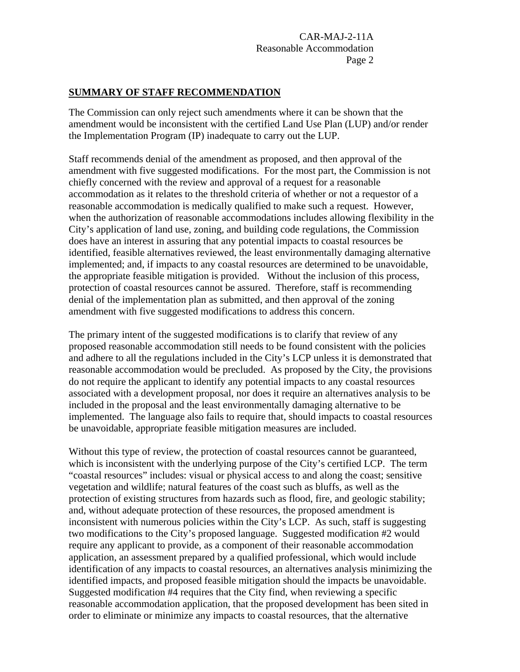#### **SUMMARY OF STAFF RECOMMENDATION**

The Commission can only reject such amendments where it can be shown that the amendment would be inconsistent with the certified Land Use Plan (LUP) and/or render the Implementation Program (IP) inadequate to carry out the LUP.

Staff recommends denial of the amendment as proposed, and then approval of the amendment with five suggested modifications. For the most part, the Commission is not chiefly concerned with the review and approval of a request for a reasonable accommodation as it relates to the threshold criteria of whether or not a requestor of a reasonable accommodation is medically qualified to make such a request. However, when the authorization of reasonable accommodations includes allowing flexibility in the City's application of land use, zoning, and building code regulations, the Commission does have an interest in assuring that any potential impacts to coastal resources be identified, feasible alternatives reviewed, the least environmentally damaging alternative implemented; and, if impacts to any coastal resources are determined to be unavoidable, the appropriate feasible mitigation is provided. Without the inclusion of this process, protection of coastal resources cannot be assured. Therefore, staff is recommending denial of the implementation plan as submitted, and then approval of the zoning amendment with five suggested modifications to address this concern.

The primary intent of the suggested modifications is to clarify that review of any proposed reasonable accommodation still needs to be found consistent with the policies and adhere to all the regulations included in the City's LCP unless it is demonstrated that reasonable accommodation would be precluded. As proposed by the City, the provisions do not require the applicant to identify any potential impacts to any coastal resources associated with a development proposal, nor does it require an alternatives analysis to be included in the proposal and the least environmentally damaging alternative to be implemented. The language also fails to require that, should impacts to coastal resources be unavoidable, appropriate feasible mitigation measures are included.

Without this type of review, the protection of coastal resources cannot be guaranteed, which is inconsistent with the underlying purpose of the City's certified LCP. The term "coastal resources" includes: visual or physical access to and along the coast; sensitive vegetation and wildlife; natural features of the coast such as bluffs, as well as the protection of existing structures from hazards such as flood, fire, and geologic stability; and, without adequate protection of these resources, the proposed amendment is inconsistent with numerous policies within the City's LCP. As such, staff is suggesting two modifications to the City's proposed language. Suggested modification #2 would require any applicant to provide, as a component of their reasonable accommodation application, an assessment prepared by a qualified professional, which would include identification of any impacts to coastal resources, an alternatives analysis minimizing the identified impacts, and proposed feasible mitigation should the impacts be unavoidable. Suggested modification #4 requires that the City find, when reviewing a specific reasonable accommodation application, that the proposed development has been sited in order to eliminate or minimize any impacts to coastal resources, that the alternative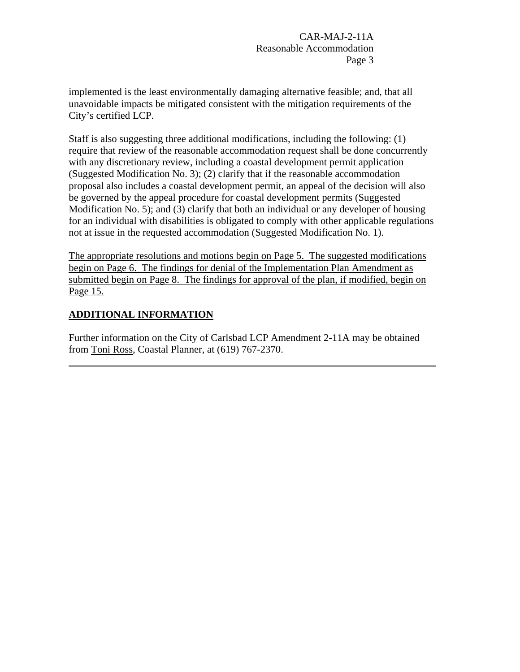implemented is the least environmentally damaging alternative feasible; and, that all unavoidable impacts be mitigated consistent with the mitigation requirements of the City's certified LCP.

Staff is also suggesting three additional modifications, including the following: (1) require that review of the reasonable accommodation request shall be done concurrently with any discretionary review, including a coastal development permit application (Suggested Modification No. 3); (2) clarify that if the reasonable accommodation proposal also includes a coastal development permit, an appeal of the decision will also be governed by the appeal procedure for coastal development permits (Suggested Modification No. 5); and (3) clarify that both an individual or any developer of housing for an individual with disabilities is obligated to comply with other applicable regulations not at issue in the requested accommodation (Suggested Modification No. 1).

The appropriate resolutions and motions begin on Page 5. The suggested modifications begin on Page 6. The findings for denial of the Implementation Plan Amendment as submitted begin on Page 8. The findings for approval of the plan, if modified, begin on Page 15.

# **ADDITIONAL INFORMATION**

 $\overline{a}$ 

Further information on the City of Carlsbad LCP Amendment 2-11A may be obtained from Toni Ross, Coastal Planner, at (619) 767-2370.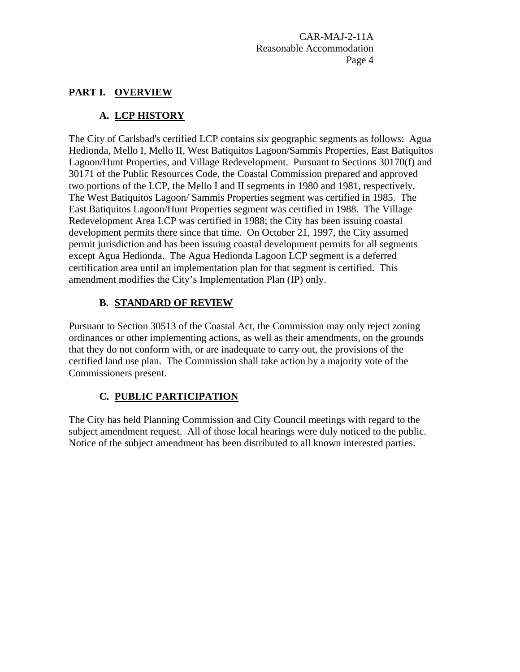# **PART I. OVERVIEW**

# **A. LCP HISTORY**

The City of Carlsbad's certified LCP contains six geographic segments as follows: Agua Hedionda, Mello I, Mello II, West Batiquitos Lagoon/Sammis Properties, East Batiquitos Lagoon/Hunt Properties, and Village Redevelopment. Pursuant to Sections 30170(f) and 30171 of the Public Resources Code, the Coastal Commission prepared and approved two portions of the LCP, the Mello I and II segments in 1980 and 1981, respectively. The West Batiquitos Lagoon/ Sammis Properties segment was certified in 1985. The East Batiquitos Lagoon/Hunt Properties segment was certified in 1988. The Village Redevelopment Area LCP was certified in 1988; the City has been issuing coastal development permits there since that time. On October 21, 1997, the City assumed permit jurisdiction and has been issuing coastal development permits for all segments except Agua Hedionda. The Agua Hedionda Lagoon LCP segment is a deferred certification area until an implementation plan for that segment is certified. This amendment modifies the City's Implementation Plan (IP) only.

# **B. STANDARD OF REVIEW**

Pursuant to Section 30513 of the Coastal Act, the Commission may only reject zoning ordinances or other implementing actions, as well as their amendments, on the grounds that they do not conform with, or are inadequate to carry out, the provisions of the certified land use plan. The Commission shall take action by a majority vote of the Commissioners present.

# **C. PUBLIC PARTICIPATION**

The City has held Planning Commission and City Council meetings with regard to the subject amendment request. All of those local hearings were duly noticed to the public. Notice of the subject amendment has been distributed to all known interested parties.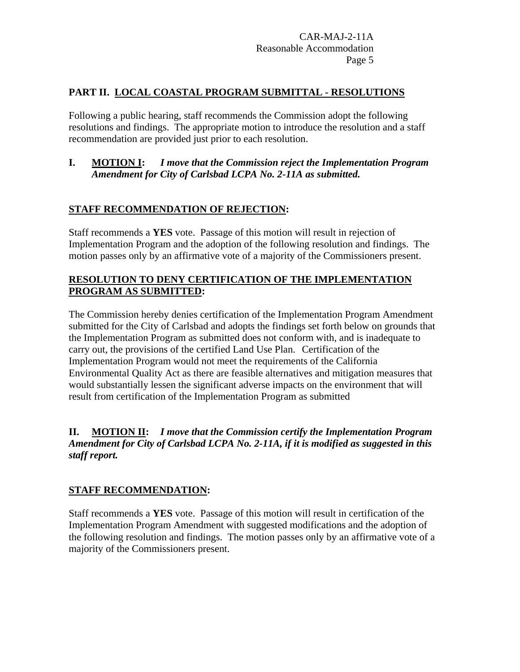## **PART II. LOCAL COASTAL PROGRAM SUBMITTAL - RESOLUTIONS**

Following a public hearing, staff recommends the Commission adopt the following resolutions and findings. The appropriate motion to introduce the resolution and a staff recommendation are provided just prior to each resolution.

## **I. MOTION I:** *I move that the Commission reject the Implementation Program Amendment for City of Carlsbad LCPA No. 2-11A as submitted.*

## **STAFF RECOMMENDATION OF REJECTION:**

Staff recommends a **YES** vote. Passage of this motion will result in rejection of Implementation Program and the adoption of the following resolution and findings. The motion passes only by an affirmative vote of a majority of the Commissioners present.

## **RESOLUTION TO DENY CERTIFICATION OF THE IMPLEMENTATION PROGRAM AS SUBMITTED:**

The Commission hereby denies certification of the Implementation Program Amendment submitted for the City of Carlsbad and adopts the findings set forth below on grounds that the Implementation Program as submitted does not conform with, and is inadequate to carry out, the provisions of the certified Land Use Plan. Certification of the Implementation Program would not meet the requirements of the California Environmental Quality Act as there are feasible alternatives and mitigation measures that would substantially lessen the significant adverse impacts on the environment that will result from certification of the Implementation Program as submitted

#### **II. MOTION II:** *I move that the Commission certify the Implementation Program Amendment for City of Carlsbad LCPA No. 2-11A, if it is modified as suggested in this staff report.*

## **STAFF RECOMMENDATION:**

Staff recommends a **YES** vote. Passage of this motion will result in certification of the Implementation Program Amendment with suggested modifications and the adoption of the following resolution and findings. The motion passes only by an affirmative vote of a majority of the Commissioners present.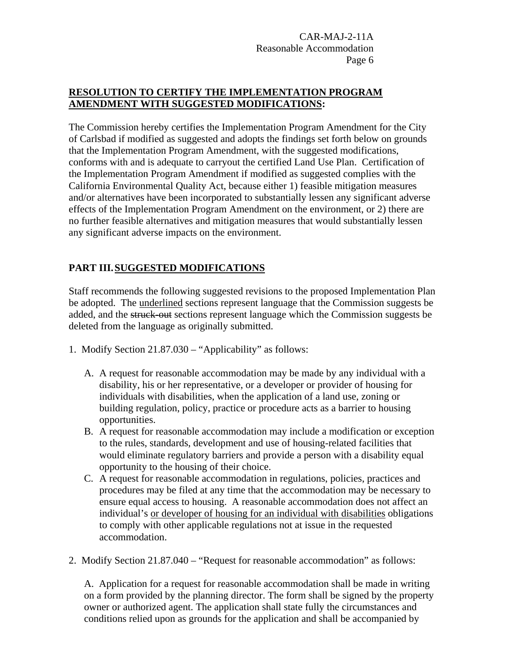## **RESOLUTION TO CERTIFY THE IMPLEMENTATION PROGRAM AMENDMENT WITH SUGGESTED MODIFICATIONS:**

The Commission hereby certifies the Implementation Program Amendment for the City of Carlsbad if modified as suggested and adopts the findings set forth below on grounds that the Implementation Program Amendment, with the suggested modifications, conforms with and is adequate to carryout the certified Land Use Plan. Certification of the Implementation Program Amendment if modified as suggested complies with the California Environmental Quality Act, because either 1) feasible mitigation measures and/or alternatives have been incorporated to substantially lessen any significant adverse effects of the Implementation Program Amendment on the environment, or 2) there are no further feasible alternatives and mitigation measures that would substantially lessen any significant adverse impacts on the environment.

# **PART III. SUGGESTED MODIFICATIONS**

Staff recommends the following suggested revisions to the proposed Implementation Plan be adopted. The underlined sections represent language that the Commission suggests be added, and the struck-out sections represent language which the Commission suggests be deleted from the language as originally submitted.

- 1. Modify Section 21.87.030 "Applicability" as follows:
	- A. A request for reasonable accommodation may be made by any individual with a disability, his or her representative, or a developer or provider of housing for individuals with disabilities, when the application of a land use, zoning or building regulation, policy, practice or procedure acts as a barrier to housing opportunities.
	- B. A request for reasonable accommodation may include a modification or exception to the rules, standards, development and use of housing-related facilities that would eliminate regulatory barriers and provide a person with a disability equal opportunity to the housing of their choice.
	- C. A request for reasonable accommodation in regulations, policies, practices and procedures may be filed at any time that the accommodation may be necessary to ensure equal access to housing. A reasonable accommodation does not affect an individual's or developer of housing for an individual with disabilities obligations to comply with other applicable regulations not at issue in the requested accommodation.
- 2. Modify Section 21.87.040 "Request for reasonable accommodation" as follows:

A. Application for a request for reasonable accommodation shall be made in writing on a form provided by the planning director. The form shall be signed by the property owner or authorized agent. The application shall state fully the circumstances and conditions relied upon as grounds for the application and shall be accompanied by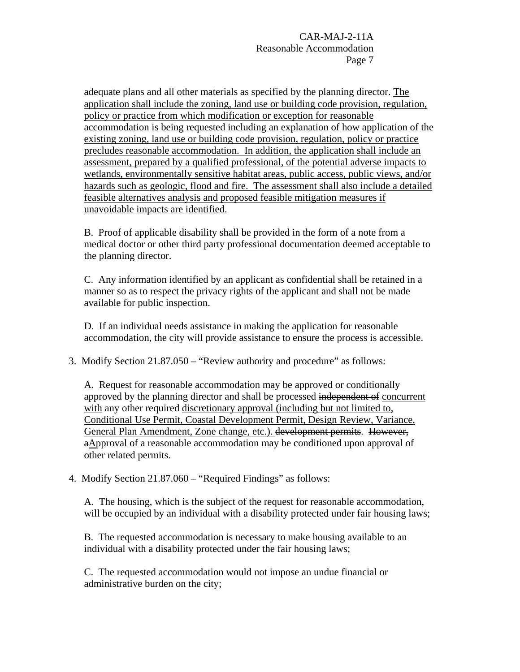adequate plans and all other materials as specified by the planning director. The application shall include the zoning, land use or building code provision, regulation, policy or practice from which modification or exception for reasonable accommodation is being requested including an explanation of how application of the existing zoning, land use or building code provision, regulation, policy or practice precludes reasonable accommodation. In addition, the application shall include an assessment, prepared by a qualified professional, of the potential adverse impacts to wetlands, environmentally sensitive habitat areas, public access, public views, and/or hazards such as geologic, flood and fire. The assessment shall also include a detailed feasible alternatives analysis and proposed feasible mitigation measures if unavoidable impacts are identified.

B. Proof of applicable disability shall be provided in the form of a note from a medical doctor or other third party professional documentation deemed acceptable to the planning director.

C. Any information identified by an applicant as confidential shall be retained in a manner so as to respect the privacy rights of the applicant and shall not be made available for public inspection.

D. If an individual needs assistance in making the application for reasonable accommodation, the city will provide assistance to ensure the process is accessible.

3. Modify Section 21.87.050 – "Review authority and procedure" as follows:

A. Request for reasonable accommodation may be approved or conditionally approved by the planning director and shall be processed independent of concurrent with any other required discretionary approval (including but not limited to, Conditional Use Permit, Coastal Development Permit, Design Review, Variance, General Plan Amendment, Zone change, etc.). development permits. However, aApproval of a reasonable accommodation may be conditioned upon approval of other related permits.

4. Modify Section 21.87.060 – "Required Findings" as follows:

A. The housing, which is the subject of the request for reasonable accommodation, will be occupied by an individual with a disability protected under fair housing laws;

B. The requested accommodation is necessary to make housing available to an individual with a disability protected under the fair housing laws;

C. The requested accommodation would not impose an undue financial or administrative burden on the city;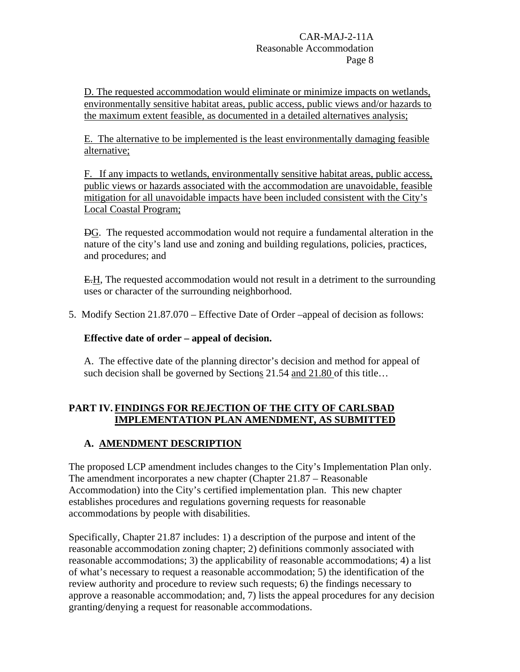D. The requested accommodation would eliminate or minimize impacts on wetlands, environmentally sensitive habitat areas, public access, public views and/or hazards to the maximum extent feasible, as documented in a detailed alternatives analysis;

E. The alternative to be implemented is the least environmentally damaging feasible alternative;

F. If any impacts to wetlands, environmentally sensitive habitat areas, public access, public views or hazards associated with the accommodation are unavoidable, feasible mitigation for all unavoidable impacts have been included consistent with the City's Local Coastal Program;

DG. The requested accommodation would not require a fundamental alteration in the nature of the city's land use and zoning and building regulations, policies, practices, and procedures; and

E.H, The requested accommodation would not result in a detriment to the surrounding uses or character of the surrounding neighborhood.

5. Modify Section 21.87.070 – Effective Date of Order –appeal of decision as follows:

## **Effective date of order – appeal of decision.**

A. The effective date of the planning director's decision and method for appeal of such decision shall be governed by Sections 21.54 and 21.80 of this title...

## **PART IV. FINDINGS FOR REJECTION OF THE CITY OF CARLSBAD IMPLEMENTATION PLAN AMENDMENT, AS SUBMITTED**

# **A. AMENDMENT DESCRIPTION**

The proposed LCP amendment includes changes to the City's Implementation Plan only. The amendment incorporates a new chapter (Chapter 21.87 – Reasonable Accommodation) into the City's certified implementation plan. This new chapter establishes procedures and regulations governing requests for reasonable accommodations by people with disabilities.

Specifically, Chapter 21.87 includes: 1) a description of the purpose and intent of the reasonable accommodation zoning chapter; 2) definitions commonly associated with reasonable accommodations; 3) the applicability of reasonable accommodations; 4) a list of what's necessary to request a reasonable accommodation; 5) the identification of the review authority and procedure to review such requests; 6) the findings necessary to approve a reasonable accommodation; and, 7) lists the appeal procedures for any decision granting/denying a request for reasonable accommodations.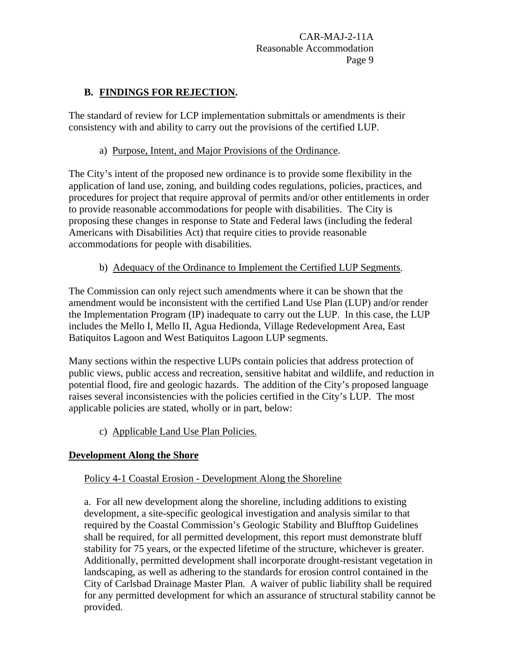## **B. FINDINGS FOR REJECTION.**

The standard of review for LCP implementation submittals or amendments is their consistency with and ability to carry out the provisions of the certified LUP.

#### a) Purpose, Intent, and Major Provisions of the Ordinance.

The City's intent of the proposed new ordinance is to provide some flexibility in the application of land use, zoning, and building codes regulations, policies, practices, and procedures for project that require approval of permits and/or other entitlements in order to provide reasonable accommodations for people with disabilities. The City is proposing these changes in response to State and Federal laws (including the federal Americans with Disabilities Act) that require cities to provide reasonable accommodations for people with disabilities.

#### b) Adequacy of the Ordinance to Implement the Certified LUP Segments.

The Commission can only reject such amendments where it can be shown that the amendment would be inconsistent with the certified Land Use Plan (LUP) and/or render the Implementation Program (IP) inadequate to carry out the LUP. In this case, the LUP includes the Mello I, Mello II, Agua Hedionda, Village Redevelopment Area, East Batiquitos Lagoon and West Batiquitos Lagoon LUP segments.

Many sections within the respective LUPs contain policies that address protection of public views, public access and recreation, sensitive habitat and wildlife, and reduction in potential flood, fire and geologic hazards. The addition of the City's proposed language raises several inconsistencies with the policies certified in the City's LUP. The most applicable policies are stated, wholly or in part, below:

c) Applicable Land Use Plan Policies.

## **Development Along the Shore**

## Policy 4-1 Coastal Erosion - Development Along the Shoreline

a. For all new development along the shoreline, including additions to existing development, a site-specific geological investigation and analysis similar to that required by the Coastal Commission's Geologic Stability and Blufftop Guidelines shall be required, for all permitted development, this report must demonstrate bluff stability for 75 years, or the expected lifetime of the structure, whichever is greater. Additionally, permitted development shall incorporate drought-resistant vegetation in landscaping, as well as adhering to the standards for erosion control contained in the City of Carlsbad Drainage Master Plan*.* A waiver of public liability shall be required for any permitted development for which an assurance of structural stability cannot be provided.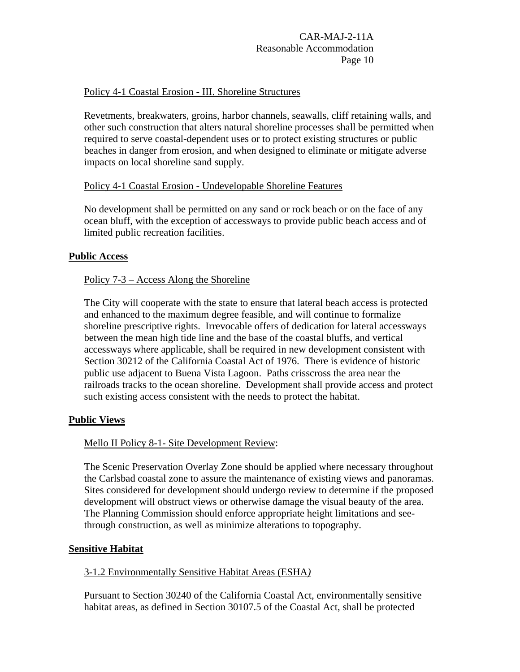#### Policy 4-1 Coastal Erosion - III. Shoreline Structures

Revetments, breakwaters, groins, harbor channels, seawalls, cliff retaining walls, and other such construction that alters natural shoreline processes shall be permitted when required to serve coastal-dependent uses or to protect existing structures or public beaches in danger from erosion, and when designed to eliminate or mitigate adverse impacts on local shoreline sand supply.

#### Policy 4-1 Coastal Erosion - Undevelopable Shoreline Features

No development shall be permitted on any sand or rock beach or on the face of any ocean bluff, with the exception of accessways to provide public beach access and of limited public recreation facilities.

#### **Public Access**

#### Policy 7-3 – Access Along the Shoreline

The City will cooperate with the state to ensure that lateral beach access is protected and enhanced to the maximum degree feasible, and will continue to formalize shoreline prescriptive rights. Irrevocable offers of dedication for lateral accessways between the mean high tide line and the base of the coastal bluffs, and vertical accessways where applicable, shall be required in new development consistent with Section 30212 of the California Coastal Act of 1976. There is evidence of historic public use adjacent to Buena Vista Lagoon. Paths crisscross the area near the railroads tracks to the ocean shoreline. Development shall provide access and protect such existing access consistent with the needs to protect the habitat.

#### **Public Views**

#### Mello II Policy 8-1- Site Development Review:

The Scenic Preservation Overlay Zone should be applied where necessary throughout the Carlsbad coastal zone to assure the maintenance of existing views and panoramas. Sites considered for development should undergo review to determine if the proposed development will obstruct views or otherwise damage the visual beauty of the area. The Planning Commission should enforce appropriate height limitations and seethrough construction, as well as minimize alterations to topography.

#### **Sensitive Habitat**

#### 3-1.2 Environmentally Sensitive Habitat Areas (ESHA*)*

Pursuant to Section 30240 of the California Coastal Act, environmentally sensitive habitat areas, as defined in Section 30107.5 of the Coastal Act, shall be protected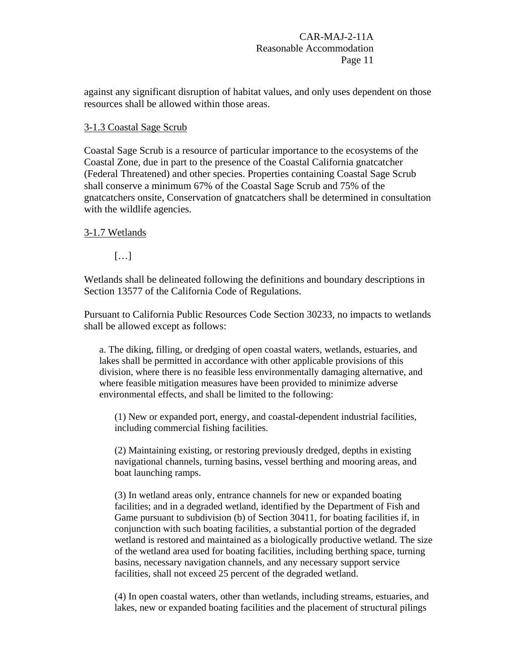against any significant disruption of habitat values, and only uses dependent on those resources shall be allowed within those areas.

#### 3-1.3 Coastal Sage Scrub

Coastal Sage Scrub is a resource of particular importance to the ecosystems of the Coastal Zone, due in part to the presence of the Coastal California gnatcatcher (Federal Threatened) and other species. Properties containing Coastal Sage Scrub shall conserve a minimum 67% of the Coastal Sage Scrub and 75% of the gnatcatchers onsite, Conservation of gnatcatchers shall be determined in consultation with the wildlife agencies.

#### 3-1.7 Wetlands

[…]

Wetlands shall be delineated following the definitions and boundary descriptions in Section 13577 of the California Code of Regulations.

Pursuant to California Public Resources Code Section 30233, no impacts to wetlands shall be allowed except as follows:

a. The diking, filling, or dredging of open coastal waters, wetlands, estuaries, and lakes shall be permitted in accordance with other applicable provisions of this division, where there is no feasible less environmentally damaging alternative, and where feasible mitigation measures have been provided to minimize adverse environmental effects, and shall be limited to the following:

(1) New or expanded port, energy, and coastal-dependent industrial facilities, including commercial fishing facilities.

(2) Maintaining existing, or restoring previously dredged, depths in existing navigational channels, turning basins, vessel berthing and mooring areas, and boat launching ramps.

(3) In wetland areas only, entrance channels for new or expanded boating facilities; and in a degraded wetland, identified by the Department of Fish and Game pursuant to subdivision (b) of Section 30411, for boating facilities if, in conjunction with such boating facilities, a substantial portion of the degraded wetland is restored and maintained as a biologically productive wetland. The size of the wetland area used for boating facilities, including berthing space, turning basins, necessary navigation channels, and any necessary support service facilities, shall not exceed 25 percent of the degraded wetland.

(4) In open coastal waters, other than wetlands, including streams, estuaries, and lakes, new or expanded boating facilities and the placement of structural pilings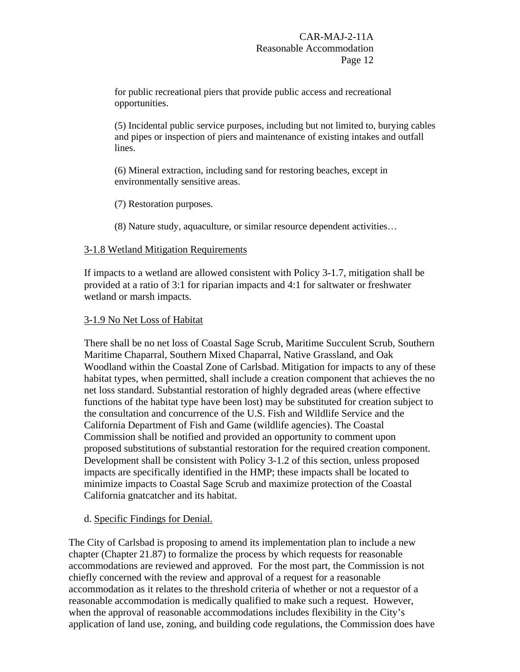for public recreational piers that provide public access and recreational opportunities.

(5) Incidental public service purposes, including but not limited to, burying cables and pipes or inspection of piers and maintenance of existing intakes and outfall lines.

(6) Mineral extraction, including sand for restoring beaches, except in environmentally sensitive areas.

(7) Restoration purposes.

(8) Nature study, aquaculture, or similar resource dependent activities…

#### 3-1.8 Wetland Mitigation Requirements

If impacts to a wetland are allowed consistent with Policy 3-1.7, mitigation shall be provided at a ratio of 3:1 for riparian impacts and 4:1 for saltwater or freshwater wetland or marsh impacts.

#### 3-1.9 No Net Loss of Habitat

There shall be no net loss of Coastal Sage Scrub, Maritime Succulent Scrub, Southern Maritime Chaparral, Southern Mixed Chaparral, Native Grassland, and Oak Woodland within the Coastal Zone of Carlsbad. Mitigation for impacts to any of these habitat types, when permitted, shall include a creation component that achieves the no net loss standard. Substantial restoration of highly degraded areas (where effective functions of the habitat type have been lost) may be substituted for creation subject to the consultation and concurrence of the U.S. Fish and Wildlife Service and the California Department of Fish and Game (wildlife agencies). The Coastal Commission shall be notified and provided an opportunity to comment upon proposed substitutions of substantial restoration for the required creation component. Development shall be consistent with Policy 3-1.2 of this section, unless proposed impacts are specifically identified in the HMP; these impacts shall be located to minimize impacts to Coastal Sage Scrub and maximize protection of the Coastal California gnatcatcher and its habitat.

#### d. Specific Findings for Denial.

The City of Carlsbad is proposing to amend its implementation plan to include a new chapter (Chapter 21.87) to formalize the process by which requests for reasonable accommodations are reviewed and approved. For the most part, the Commission is not chiefly concerned with the review and approval of a request for a reasonable accommodation as it relates to the threshold criteria of whether or not a requestor of a reasonable accommodation is medically qualified to make such a request. However, when the approval of reasonable accommodations includes flexibility in the City's application of land use, zoning, and building code regulations, the Commission does have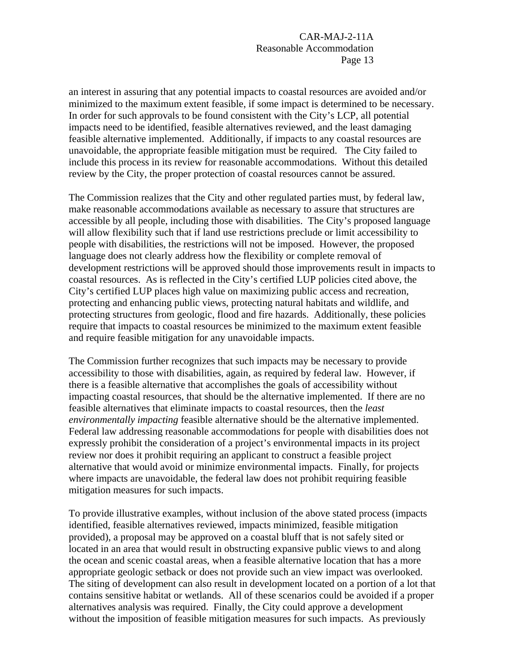an interest in assuring that any potential impacts to coastal resources are avoided and/or minimized to the maximum extent feasible, if some impact is determined to be necessary. In order for such approvals to be found consistent with the City's LCP, all potential impacts need to be identified, feasible alternatives reviewed, and the least damaging feasible alternative implemented. Additionally, if impacts to any coastal resources are unavoidable, the appropriate feasible mitigation must be required. The City failed to include this process in its review for reasonable accommodations. Without this detailed review by the City, the proper protection of coastal resources cannot be assured.

The Commission realizes that the City and other regulated parties must, by federal law, make reasonable accommodations available as necessary to assure that structures are accessible by all people, including those with disabilities. The City's proposed language will allow flexibility such that if land use restrictions preclude or limit accessibility to people with disabilities, the restrictions will not be imposed. However, the proposed language does not clearly address how the flexibility or complete removal of development restrictions will be approved should those improvements result in impacts to coastal resources. As is reflected in the City's certified LUP policies cited above, the City's certified LUP places high value on maximizing public access and recreation, protecting and enhancing public views, protecting natural habitats and wildlife, and protecting structures from geologic, flood and fire hazards. Additionally, these policies require that impacts to coastal resources be minimized to the maximum extent feasible and require feasible mitigation for any unavoidable impacts.

The Commission further recognizes that such impacts may be necessary to provide accessibility to those with disabilities, again, as required by federal law. However, if there is a feasible alternative that accomplishes the goals of accessibility without impacting coastal resources, that should be the alternative implemented. If there are no feasible alternatives that eliminate impacts to coastal resources, then the *least environmentally impacting* feasible alternative should be the alternative implemented. Federal law addressing reasonable accommodations for people with disabilities does not expressly prohibit the consideration of a project's environmental impacts in its project review nor does it prohibit requiring an applicant to construct a feasible project alternative that would avoid or minimize environmental impacts. Finally, for projects where impacts are unavoidable, the federal law does not prohibit requiring feasible mitigation measures for such impacts.

To provide illustrative examples, without inclusion of the above stated process (impacts identified, feasible alternatives reviewed, impacts minimized, feasible mitigation provided), a proposal may be approved on a coastal bluff that is not safely sited or located in an area that would result in obstructing expansive public views to and along the ocean and scenic coastal areas, when a feasible alternative location that has a more appropriate geologic setback or does not provide such an view impact was overlooked. The siting of development can also result in development located on a portion of a lot that contains sensitive habitat or wetlands. All of these scenarios could be avoided if a proper alternatives analysis was required. Finally, the City could approve a development without the imposition of feasible mitigation measures for such impacts. As previously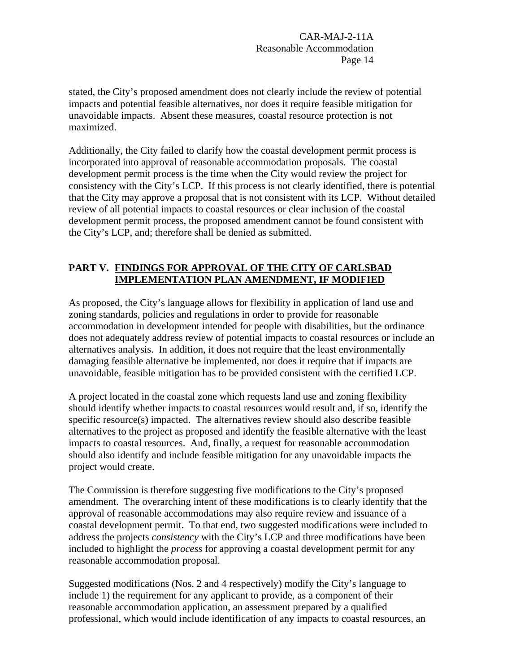stated, the City's proposed amendment does not clearly include the review of potential impacts and potential feasible alternatives, nor does it require feasible mitigation for unavoidable impacts. Absent these measures, coastal resource protection is not maximized.

Additionally, the City failed to clarify how the coastal development permit process is incorporated into approval of reasonable accommodation proposals. The coastal development permit process is the time when the City would review the project for consistency with the City's LCP. If this process is not clearly identified, there is potential that the City may approve a proposal that is not consistent with its LCP. Without detailed review of all potential impacts to coastal resources or clear inclusion of the coastal development permit process, the proposed amendment cannot be found consistent with the City's LCP, and; therefore shall be denied as submitted.

#### **PART V. FINDINGS FOR APPROVAL OF THE CITY OF CARLSBAD IMPLEMENTATION PLAN AMENDMENT, IF MODIFIED**

As proposed, the City's language allows for flexibility in application of land use and zoning standards, policies and regulations in order to provide for reasonable accommodation in development intended for people with disabilities, but the ordinance does not adequately address review of potential impacts to coastal resources or include an alternatives analysis. In addition, it does not require that the least environmentally damaging feasible alternative be implemented, nor does it require that if impacts are unavoidable, feasible mitigation has to be provided consistent with the certified LCP.

A project located in the coastal zone which requests land use and zoning flexibility should identify whether impacts to coastal resources would result and, if so, identify the specific resource(s) impacted. The alternatives review should also describe feasible alternatives to the project as proposed and identify the feasible alternative with the least impacts to coastal resources. And, finally, a request for reasonable accommodation should also identify and include feasible mitigation for any unavoidable impacts the project would create.

The Commission is therefore suggesting five modifications to the City's proposed amendment. The overarching intent of these modifications is to clearly identify that the approval of reasonable accommodations may also require review and issuance of a coastal development permit. To that end, two suggested modifications were included to address the projects *consistency* with the City's LCP and three modifications have been included to highlight the *process* for approving a coastal development permit for any reasonable accommodation proposal.

Suggested modifications (Nos. 2 and 4 respectively) modify the City's language to include 1) the requirement for any applicant to provide, as a component of their reasonable accommodation application, an assessment prepared by a qualified professional, which would include identification of any impacts to coastal resources, an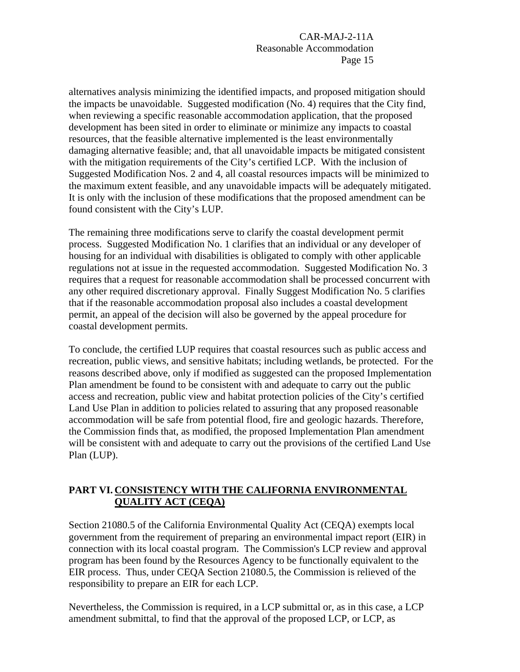alternatives analysis minimizing the identified impacts, and proposed mitigation should the impacts be unavoidable. Suggested modification (No. 4) requires that the City find, when reviewing a specific reasonable accommodation application, that the proposed development has been sited in order to eliminate or minimize any impacts to coastal resources, that the feasible alternative implemented is the least environmentally damaging alternative feasible; and, that all unavoidable impacts be mitigated consistent with the mitigation requirements of the City's certified LCP. With the inclusion of Suggested Modification Nos. 2 and 4, all coastal resources impacts will be minimized to the maximum extent feasible, and any unavoidable impacts will be adequately mitigated. It is only with the inclusion of these modifications that the proposed amendment can be found consistent with the City's LUP.

The remaining three modifications serve to clarify the coastal development permit process. Suggested Modification No. 1 clarifies that an individual or any developer of housing for an individual with disabilities is obligated to comply with other applicable regulations not at issue in the requested accommodation. Suggested Modification No. 3 requires that a request for reasonable accommodation shall be processed concurrent with any other required discretionary approval. Finally Suggest Modification No. 5 clarifies that if the reasonable accommodation proposal also includes a coastal development permit, an appeal of the decision will also be governed by the appeal procedure for coastal development permits.

To conclude, the certified LUP requires that coastal resources such as public access and recreation, public views, and sensitive habitats; including wetlands, be protected. For the reasons described above, only if modified as suggested can the proposed Implementation Plan amendment be found to be consistent with and adequate to carry out the public access and recreation, public view and habitat protection policies of the City's certified Land Use Plan in addition to policies related to assuring that any proposed reasonable accommodation will be safe from potential flood, fire and geologic hazards. Therefore, the Commission finds that, as modified, the proposed Implementation Plan amendment will be consistent with and adequate to carry out the provisions of the certified Land Use Plan (LUP).

## **PART VI. CONSISTENCY WITH THE CALIFORNIA ENVIRONMENTAL QUALITY ACT (CEQA)**

Section 21080.5 of the California Environmental Quality Act (CEQA) exempts local government from the requirement of preparing an environmental impact report (EIR) in connection with its local coastal program. The Commission's LCP review and approval program has been found by the Resources Agency to be functionally equivalent to the EIR process. Thus, under CEQA Section 21080.5, the Commission is relieved of the responsibility to prepare an EIR for each LCP.

Nevertheless, the Commission is required, in a LCP submittal or, as in this case, a LCP amendment submittal, to find that the approval of the proposed LCP, or LCP, as